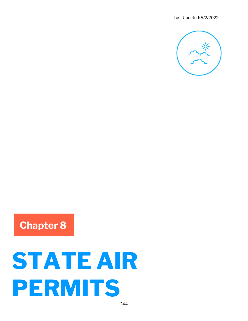

## Chapter 8

# STATE AIR PERMITS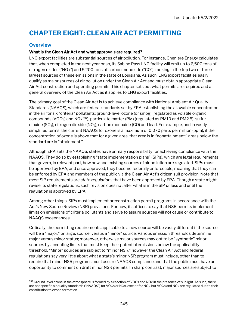### CHAPTER EIGHT: CLEAN AIR ACT PERMITTING

#### **Overview**

#### What is the Clean Air Act and what approvals are required?

LNG export facilities are substantial sources of air pollution. For instance, Cheniere Energy calculates that, when completed in the next year or so, its Sabine Pass LNG facility will emit up to 6,500 tons of nitrogen oxides ("NOx") and 5,200 tons of carbon monoxide ("CO"), ranking in the top two or three largest sources of these emissions in the state of Louisiana. As such, LNG export facilities easily qualify as major sources of air pollution under the Clean Air Act and must obtain appropriate Clean Air Act construction and operating permits. This chapter sets out what permits are required and a general overview of the Clean Air Act as it applies to LNG export facilities.

The primary goal of the Clean Air Act is to achieve compliance with National Ambient Air Quality Standards (NAAQS), which are federal standards set by EPA establishing the allowable concentration in the air for six "criteria" pollutants: ground-level ozone (or smog) (regulated as volatile organic compounds (VOCs) and  $NOx^{937}$ , particulate matter (PM) (regulated as PM10 and PM2.5), sulfur dioxide (SO<sub>2</sub>), nitrogen dioxide (NO<sub>2</sub>), carbon monoxide (CO) and lead. For example, and in vastly simplified terms, the current NAAQS for ozone is a maximum of 0.070 parts per million (ppm); if the concentration of ozone is above that for a given area, that area is in "nonattainment;" areas below the standard are in "attainment."

Although EPA sets the NAAQS, states have primary responsibility for achieving compliance with the NAAQS. They do so by establishing "state implementation plans" (SIPs), which are legal requirements that govern, in relevant part, how new and existing sources of air pollution are regulated. SIPs must be approved by EPA, and once approved, they become federally enforceable, meaning that they can be enforced by EPA and members of the public via the Clean Air Act's citizen suit provision. Note that most SIP requirements are state regulations that have been approved by EPA. Though a state might revise its state regulations, such revision does not alter what is in the SIP unless and until the regulation is approved by EPA.

Among other things, SIPs must implement preconstruction permit programs in accordance with the Act's New Source Review (NSR) provisions. For now, it suffices to say that NSR permits implement limits on emissions of criteria pollutants and serve to assure sources will not cause or contribute to NAAQS exceedances.

Critically, the permitting requirements applicable to a new source will be vastly different if the source will be a "major," or large, source, versus a "minor" source. Various emission thresholds determine major versus minor status; moreover, otherwise major sources may opt to be "synthetic" minor sources by accepting limits that must keep their potential emissions below the applicability threshold. "Minor" sources are subject to "minor NSR," however the Clean Air Act and federal regulations say very little about what a state's minor NSR program must include, other than to require that minor NSR programs must assure NAAQS compliance and that the public must have an opportunity to comment on draft minor NSR permits. In sharp contrast, major sources are subject to

<sup>937</sup> Ground level ozone in the atmosphere is formed by a reaction of VOCs and NOx in the presence of sunlight. As such, there are not specific air quality standards ("NAAQS") for VOCs or NOx, except for NO<sub>2</sub>, but VOCs and NOx are regulated due to their contribution to ozone formation.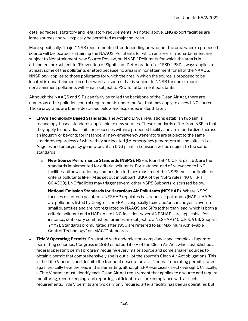detailed federal statutory and regulatory requirements. As noted above, LNG export facilities are large sources and will typically be permitted as major sources.

More specifically, "major" NSR requirements differ depending on whether the area where a proposed source will be located is attaining the NAAQS. Pollutants for which an area is in nonattainment are subject to Nonattainment New Source Review, or "NNSR." Pollutants for which the area is in attainment are subject to "Prevention of Significant Deterioration," or "PSD." PSD always applies to at least some of the pollutants emitted because no area is in nonattainment for all of the NAAQS. NNSR only applies to those pollutants for which the area in which the source is proposed to be located is nonattainment; in other words, a source that is subject to NNSR for one or more nonattainment pollutants will remain subject to PSD for attainment pollutants.

Although the NAAQS and SIPs can fairly be called the backbone of the Clean Air Act, there are numerous other pollution control requirements under the Act that may apply to a new LNG source. Those programs are briefly described below and expanded in depth later:

- EPA's Technology Based Standards. The Act and EPA's regulations establish two similar technology-based standards applicable to new sources. These standards differ from NSR in that they apply to individual units or processes within a proposed facility and are standardized across an industry or beyond; for instance, all new emergency generators are subject to the same standards regardless of where they are located (i.e. emergency generators at a hospital in Los Angeles and emergency generators at an LNG plant in Louisiana will be subject to the same standards).
	- $\circ$  New Source Performance Standards (NSPS). NSPS, found at 40 C.F.R. part 60, are the standards implemented for criteria pollutants. For instance, and of relevance to LNG facilities, all new stationary combustion turbines must meet the NSPS emission limits for criteria pollutants like PM as set out in Subpart KKKK of the NSPS rules (40 C.F.R. § 60.4300). LNG facilities may trigger several other NSPS Subparts, discussed below.
	- o National Emission Standards for Hazardous Air Pollutants (NESHAP). Where NSPS focuses on criteria pollutants, NESHAP regulates hazardous air pollutants (HAPs). HAPs are pollutants listed by Congress or EPA as especially toxic and/or carcinogenic even in small quantities and are not regulated by NAAQS and SIPs (other than lead, which is both a criteria pollutant and a HAP). As to LNG facilities, several NESHAPs are applicable, for instance, stationary combustion turbines are subject to a NESHAP (40 C.F.R. § 63, Subpart YYYY). Standards promulgated after 1990 are referred to as "Maximum Achievable Control Technology" or "MACT" standards.
- **Title V Operating Permits.** Frustrated with endemic non-compliance and complex, disparate permitting schemes, Congress in 1990 enacted Title V of the Clean Air Act, which established a federal operating permit program requiring every major source and some smaller sources to obtain a permit that comprehensively spells out all of the source's Clean Air Act obligations. This is the Title V permit, and despite the frequent description as a "federal" operating permit, states again typically take the lead in this permitting, although EPA exercises direct oversight. Critically, a Title V permit must identify each Clean Air Act requirement that applies to a source and require monitoring, recordkeeping, and reporting sufficient to assure compliance with all such requirements. Title V permits are typically only required after a facility has begun operating, but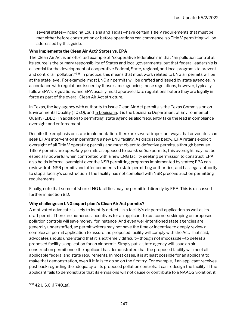several states—including Louisiana and Texas—have certain Title V requirements that must be met either before construction or before operations can commence, so Title V permitting will be addressed by this guide.

#### Who Implements the Clean Air Act? States vs. EPA

The Clean Air Act is an oft-cited example of "cooperative federalism" in that "air pollution control at its source is the primary responsibility of States and local governments, but that federal leadership is essential for the development of cooperative Federal, State, regional, and local programs to prevent and control air pollution."<sup>938</sup> In practice, this means that most work related to LNG air permits will be at the state level. For example, most LNG air permits will be drafted and issued by state agencies, in accordance with regulations issued by those same agencies; those regulations, however, typically follow EPA's regulations, and EPA usually must approve state regulations before they are legally in force as part of the overall Clean Air Act structure.

In Texas, the key agency with authority to issue Clean Air Act permits is the Texas Commission on Environmental Quality (TCEQ), and in Louisiana, it is the Louisiana Department of Environmental Quality (LDEQ). In addition to permitting, state agencies also frequently take the lead in compliance oversight and enforcement.

Despite the emphasis on state implementation, there are several important ways that advocates can seek EPA's intervention in permitting a new LNG facility. As discussed below, EPA retains explicit oversight of all Title V operating permits and must object to defective permits, although because Title V permits are operating permits as opposed to construction permits, this oversight may not be especially powerful when confronted with a new LNG facility seeking permission to construct. EPA also holds informal oversight over the NSR permitting programs implemented by states; EPA can review draft NSR permits and offer comments to state permitting authorities, and has legal authority to stop a facility's construction if the facility has not complied with NSR preconstruction permitting requirements.

Finally, note that some offshore LNG facilities may be permitted directly by EPA. This is discussed further in Section 8.D.

#### Why challenge an LNG export plant's Clean Air Act permits?

A motivated advocate is likely to identify defects in a facility's air permit application as well as its draft permit. There are numerous incentives for an applicant to cut corners: skimping on proposed pollution controls will save money, for instance. And even well-intentioned state agencies are generally understaffed, so permit writers may not have the time or incentive to deeply review a complex air permit application to assure the proposed facility will comply with the Act. That said, advocates should understand that it is extremely difficult—though not impossible—to defeat a proposed facility's application for an air permit. Simply put, a state agency will issue an air construction permit once the applicant has demonstrated that the proposed facility will meet all applicable federal and state requirements. In most cases, it is at least possible for an applicant to make that demonstration, even if it fails to do so on the first try. For example, if an applicant receives pushback regarding the adequacy of its proposed pollution controls, it can redesign the facility. If the applicant fails to demonstrate that its emissions will not cause or contribute to a NAAQS violation, it

<sup>938 42</sup> U.S.C. § 7401(a).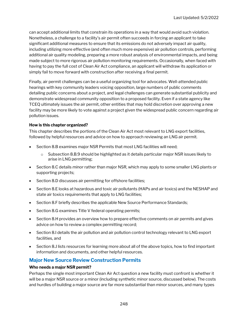can accept additional limits that constrain its operations in a way that would avoid such violation. Nonetheless, a challenge to a facility's air permit often succeeds in forcing an applicant to take significant additional measures to ensure that its emissions do not adversely impact air quality, including utilizing more effective (and often much more expensive) air pollution controls, performing additional air quality modeling, preparing a more robust analysis of environmental impacts, and being made subject to more rigorous air pollution monitoring requirements. Occasionally, when faced with having to pay the full cost of Clean Air Act compliance, an applicant will withdraw its application or simply fail to move forward with construction after receiving a final permit.

Finally, air permit challenges can be a useful organizing tool for advocates. Well-attended public hearings with key community leaders voicing opposition, large numbers of public comments detailing public concerns about a project, and legal challenges can generate substantial publicity and demonstrate widespread community opposition to a proposed facility. Even if a state agency like TCEQ ultimately issues the air permit, other entities that may hold discretion over approving a new facility may be more likely to vote against a project given the widespread public concern regarding air pollution issues.

#### How is this chapter organized?

This chapter describes the portions of the Clean Air Act most relevant to LNG export facilities, followed by helpful resources and advice on how to approach reviewing an LNG air permit.

- Section 8.B examines major NSR Permits that most LNG facilities will need;
	- $\circ$  Subsection 8.B.9 should be highlighted as it details particular major NSR issues likely to arise in LNG permitting;
- Section 8.C details minor rather than major NSR, which may apply to some smaller LNG plants or supporting projects;
- Section 8.D discusses air permitting for offshore facilities;
- Section 8.E looks at hazardous and toxic air pollutants (HAPs and air toxics) and the NESHAP and state air toxics requirements that apply to LNG facilities;
- Section 8.F briefly describes the applicable New Source Performance Standards;
- Section 8.G examines Title V federal operating permits;
- Section 8.H provides an overview how to prepare effective comments on air permits and gives advice on how to review a complex permitting record;
- Section 8.I details the air pollution and air pollution control technology relevant to LNG export facilities, and
- Section 8.J lists resources for learning more about all of the above topics, how to find important information and documents, and other helpful resources.

#### Major New Source Review Construction Permits

#### Who needs a major NSR permit?

Perhaps the single most important Clean Air Act question a new facility must confront is whether it will be a major NSR source or a minor (including synthetic minor source, discussed below). The costs and hurdles of building a major source are far more substantial than minor sources, and many types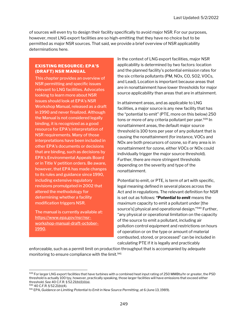of sources will even try to design their facility specifically to avoid major NSR. For our purposes, however, most LNG export facilities are so high-emitting that they have no choice but to be permitted as major NSR sources. That said, we provide a brief overview of NSR applicability determinations here.

#### EXISTING RESOURCE: EPA'S (DRAFT) NSR MANUAL

This chapter provides an overview of NSR permitting and specific issues relevant to LNG facilities. Advocates looking to learn more about NSR issues should look at EPA's NSR Workshop Manual, released as a draft in 1990 and never finalized. Although the Manual is not considered legally binding, it is recognized as a good resource for EPA's interpretation of NSR requirements. Many of those interpretations have been included in other EPA's documents or decisions that are binding, such as decisions by EPA's Environmental Appeals Board or in Title V petition orders. Be aware, however, that EPA has made changes to its rules and guidance since 1990, including extensive regulatory revisions promulgated in 2002 that altered the methodology for determining whether a facility modification triggers NSR.

The manual is currently available at: https://www.epa.gov/nsr/nsrworkshop-manual-draft-october-1990.

In the context of LNG export facilities, major NSR applicability is determined by two factors: location and the planned facility's potential emission rates for the six criteria pollutants (PM, NOx, CO, SO2, VOCs, and Lead). Location is important because areas that are in nonattainment have lower thresholds for major source applicability than areas that are in attainment.

In attainment areas, and as applicable to LNG facilities, a major source is any new facility that has the "potential to emit" (PTE, more on this below) 250 tons or more of any criteria pollutant per year.<sup>939</sup> In nonattainment areas, the default major source threshold is 100 tons per year of any pollutant that is causing the nonattainment (for instance, VOCs and NOx are both precursors of ozone, so if any area is in nonattainment for ozone, either VOCs or NOx could individually trigger the major source threshold). Further, there are more stringent thresholds depending on the severity and type of the nonattainment.

Potential to emit, or PTE, is term of art with specific, legal meaning defined in several places across the Act and in regulations. The relevant definition for NSR is set out as follows: "Potential to emit means the maximum capacity to emit a pollutant under [the source's] physical and operational design."<sup>940</sup> Further, "any physical or operational limitation on the capacity of the source to emit a pollutant, including air pollution control equipment and restrictions on hours of operation or on the type or amount of material combusted, stored, or processed" can be included in calculating PTE if it is legally and practicably

enforceable, such as a permit limit on production throughput that is accompanied by adequate monitoring to ensure compliance with the limit.<sup>941</sup>

<sup>939</sup> For larger LNG export facilities that have turbines with a combined heat input rating of 250 MMBtu/hr or greater, the PSD threshold is actually 100 tpy, however, practically speaking, those larger facilities will have emissions that exceed either threshold. See 40 C.F.R. § 52.21(b)(1)(i)(a).

<sup>940</sup> 40 C.F.R. § 52.21(b)(4).

<sup>941</sup> EPA, Guidance on Limiting Potential to Emit in New Source Permitting, at 6 (June 13, 1989).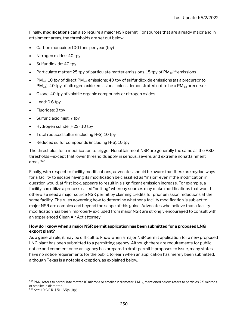Finally, **modifications** can also require a major NSR permit. For sources that are already major and in attainment areas, the thresholds are set out below:

- Carbon monoxide: 100 tons per year (tpy)
- Nitrogen oxides: 40 tpy
- Sulfur dioxide: 40 tpy
- Particulate matter: 25 tpy of particulate matter emissions. 15 tpy of  $PM_{10}^{942}$ emissions
- PM<sub>2.5</sub>: 10 tpy of direct PM<sub>2.5</sub> emissions; 40 tpy of sulfur dioxide emissions (as a precursor to  $PM_{2.5}$ ); 40 tpy of nitrogen oxide emissions unless demonstrated not to be a  $PM_{2.5}$  precursor
- Ozone: 40 tpy of volatile organic compounds or nitrogen oxides
- Lead: 0.6 tpy
- Fluorides: 3 tpy
- Sulfuric acid mist: 7 tpy
- Hydrogen sulfide (H2S): 10 tpy
- Total reduced sulfur (including  $H_2S$ ): 10 tpy
- Reduced sulfur compounds (including  $H_2S$ ): 10 tpy

The thresholds for a modification to trigger Nonattainment NSR are generally the same as the PSD thresholds—except that lower thresholds apply in serious, severe, and extreme nonattainment areas.<sup>943</sup>

Finally, with respect to facility modifications, advocates should be aware that there are myriad ways for a facility to escape having its modification be classified as "major" even if the modification in question would, at first look, appears to result in a significant emission increase. For example, a facility can utilize a process called "netting" whereby sources may make modifications that would otherwise need a major source NSR permit by claiming credits for prior emission reductions at the same facility. The rules governing how to determine whether a facility modification is subject to major NSR are complex and beyond the scope of this guide. Advocates who believe that a facility modification has been improperly excluded from major NSR are strongly encouraged to consult with an experienced Clean Air Act attorney.

#### How do I know when a major NSR permit application has been submitted for a proposed LNG export plant?

As a general rule, it may be difficult to know when a major NSR permit application for a new proposed LNG plant has been submitted to a permitting agency. Although there are requirements for public notice and comment once an agency has prepared a draft permit it proposes to issue, many states have no notice requirements for the public to learn when an application has merely been submitted, although Texas is a notable exception, as explained below.

 $942$  PM<sub>10</sub> refers to particulate matter 10 microns or smaller in diameter. PM<sub>2.5</sub>, mentioned below, refers to particles 2.5 microns or smaller in diameter.

<sup>943</sup> See 40 C.F.R. § 51.165(a)(1)(x).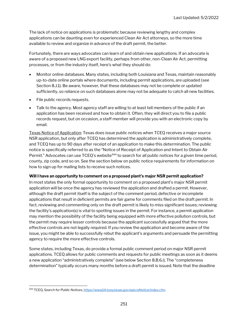The lack of notice on applications is problematic because reviewing lengthy and complex applications can be daunting even for experienced Clean Air Act attorneys, so the more time available to review and organize in advance of the draft permit, the better.

Fortunately, there are ways advocates can learn of and obtain new applications. If an advocate is aware of a proposed new LNG export facility, perhaps from other, non-Clean Air Act, permitting processes, or from the industry itself, here's what they should do:

- Monitor online databases. Many states, including both Louisiana and Texas, maintain reasonably up-to-date online portals where documents, including permit applications, are uploaded (see Section 8.J.1). Be aware, however, that these databases may not be complete or updated sufficiently, so reliance on such databases alone may not be adequate to catch all new facilities.
- File public records requests.
- Talk to the agency. Most agency staff are willing to at least tell members of the public if an application has been received and how to obtain it. Often, they will direct you to file a public records request, but on occasion, a staff member will provide you with an electronic copy by email.

Texas Notice of Application: Texas does issue public notices when TCEQ receives a major source NSR application, but only after TCEQ has determined the application is administratively complete, and TCEQ has up to 90 days after receipt of an application to make this determination. The public notice is specifically referred to as the "Notice of Receipt of Application and Intent to Obtain Air Permit." Advocates can use  $TCEQ$ 's website<sup>944</sup> to search for all public notices for a given time period, county, zip code, and so on. See the section below on public notice requirements for information on how to sign up for mailing lists to receive such notices.

#### Will I have an opportunity to comment on a proposed plant's major NSR permit application?

In most states the only formal opportunity to comment on a proposed plant's major NSR permit application will be once the agency has reviewed the application and drafted a permit. However, although the draft permit itself is the subject of the comment period, defective or incomplete applications that result in deficient permits are fair game for comments filed on the draft permit. In fact, reviewing and commenting only on the draft permit is likely to miss significant issues; reviewing the facility's application(s) is vital to spotting issues in the permit. For instance, a permit application may mention the possibility of the facility being equipped with more effective pollution controls, but the permit may require lesser controls because the applicant successfully argued that the more effective controls are not legally required. If you review the application and become aware of the issue, you might be able to successfully rebut the applicant's arguments and persuade the permitting agency to require the more effective controls.

Some states, including Texas, do provide a formal public comment period on major NSR permit applications. TCEQ allows for public comments and requests for public meetings as soon as it deems a new application "administratively complete" (see below Section 8.B.6.i). The "completeness determination" typically occurs many months before a draft permit is issued. Note that the deadline

<sup>944</sup> TCEQ, Search for Public Notices, https://www14.tceq.texas.gov/epic/eNotice/index.cfm.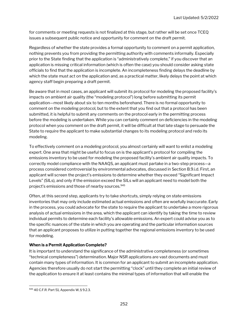for comments or meeting requests is not finalized at this stage, but rather will be set once TCEQ issues a subsequent public notice and opportunity for comment on the draft permit.

Regardless of whether the state provides a formal opportunity to comment on a permit application, nothing prevents you from providing the permitting authority with comments informally. Especially prior to the State finding that the application is "administratively complete," if you discover that an application is missing critical information (which is often the case) you should consider asking state officials to find that the application is incomplete. An incompleteness finding delays the deadline by which the state must act on the application and, as a practical matter, likely delays the point at which agency staff begin preparing a draft permit.

Be aware that in most cases, an applicant will submit its protocol for modeling the proposed facility's impacts on ambient air quality (the "modeling protocol") long before submitting its permit application—most likely about six to ten months beforehand. There is no formal opportunity to comment on the modeling protocol, but to the extent that you find out that a protocol has been submitted, it is helpful to submit any comments on the protocol early in the permitting process before the modeling is undertaken. While you can certainly comment on deficiencies in the modeling protocol when you comment on the draft permit, it will be difficult at that late stage to persuade the State to require the applicant to make substantial changes to its modeling protocol and redo its modeling.

To effectively comment on a modeling protocol, you almost certainly will want to enlist a modeling expert. One area that might be useful to focus on is the applicant's protocol for compiling the emissions inventory to be used for modeling the proposed facility's ambient air quality impacts. To correctly model compliance with the NAAQS, an applicant must partake in a two-step process—a process considered controversial by environmental advocates, discussed in Section B.9.i.d. First, an applicant will screen the project's emissions to determine whether they exceed "Significant Impact Levels" (SILs), and only if the emission exceed the SILs will an applicant need to model both the project's emissions and those of nearby sources.<sup>945</sup>

Often, at this second step, applicants try to take shortcuts, simply relying on state emissions inventories that may only include estimated actual emissions and often are woefully inaccurate. Early in the process, you could advocate for the state to require the applicant to undertake a more rigorous analysis of actual emissions in the area, which the applicant can identify by taking the time to review individual permits to determine each facility's allowable emissions. An expert could advise you as to the specific nuances of the state in which you are operating and the particular information sources that an applicant proposes to utilize in putting together the regional emissions inventory to be used for modeling.

#### When is a Permit Application Complete?

It is important to understand the significance of the administrative completeness (or sometimes "technical completeness") determination. Major NSR applications are vast documents and must contain many types of information. It is common for an applicant to submit an incomplete application. Agencies therefore usually do not start the permitting "clock" until they complete an initial review of the application to ensure it at least contains the minimal types of information that will enable the

<sup>945 40</sup> C.F.R. Part 51, Appendix W, § 9.2.3.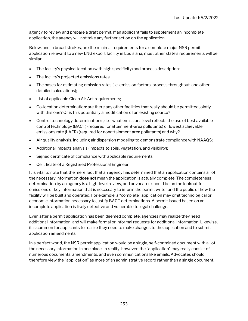agency to review and prepare a draft permit. If an applicant fails to supplement an incomplete application, the agency will not take any further action on the application.

Below, and in broad strokes, are the minimal requirements for a complete major NSR permit application relevant to a new LNG export facility in Louisiana; most other state's requirements will be similar:

- The facility's physical location (with high specificity) and process description;
- The facility's projected emissions rates;
- The bases for estimating emission rates (i.e. emission factors, process throughput, and other detailed calculations);
- List of applicable Clean Air Act requirements;
- Co-location determination: are there any other facilities that really should be permitted jointly with this one? Or is this potentially a modification of an existing source?
- Control technology determination(s), i.e. what emissions level reflects the use of best available control technology (BACT) (required for attainment-area pollutants) or lowest achievable emissions rate (LAER) (required for nonattainment area pollutants) and why?
- Air quality analysis, including air dispersion modeling to demonstrate compliance with NAAQS;
- Additional impacts analysis (impacts to soils, vegetation, and visibility);
- Signed certificate of compliance with applicable requirements;
- Certificate of a Registered Professional Engineer.

It is vital to note that the mere fact that an agency has determined that an application contains all of the necessary information **does not** mean the application is actually complete. The completeness determination by an agency is a high-level review, and advocates should be on the lookout for omissions of key information that is necessary to inform the permit writer and the public of how the facility will be built and operated. For example, a "complete" application may omit technological or economic information necessary to justify BACT determinations. A permit issued based on an incomplete application is likely defective and vulnerable to legal challenge.

Even after a permit application has been deemed complete, agencies may realize they need additional information, and will make formal or informal requests for additional information. Likewise, it is common for applicants to realize they need to make changes to the application and to submit application amendments.

In a perfect world, the NSR permit application would be a single, self-contained document with all of the necessary information in one place. In reality, however, the "application" may really consist of numerous documents, amendments, and even communications like emails. Advocates should therefore view the "application" as more of an administrative record rather than a single document.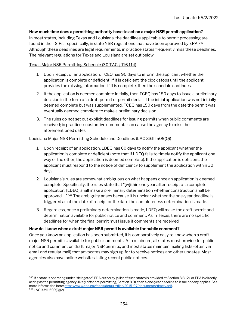#### How much time does a permitting authority have to act on a major NSR permit application?

In most states, including Texas and Louisiana, the deadlines applicable to permit processing are found in their SIPs—specifically, in state NSR regulations that have been approved by EPA.<sup>946</sup> Although these deadlines are legal requirements, in practice states frequently miss these deadlines. The relevant regulations for Texas and Louisiana are set out below:

#### Texas Major NSR Permitting Schedule (30 TAC § 116.114)

- 1. Upon receipt of an application, TCEQ has 90 days to inform the applicant whether the application is complete or deficient. If it is deficient, the clock stops until the applicant provides the missing information; if it is complete, then the schedule continues.
- 2. If the application is deemed complete initially, then TCEQ has 180 days to issue a preliminary decision in the form of a draft permit or permit denial; if the initial application was not initially deemed complete but was supplemented, TCEQ has 150 days from the date the permit was eventually deemed complete to make a preliminary decision.
- 3. The rules do not set out explicit deadlines for issuing permits when public comments are received; in practice, substantive comments can cause the agency to miss the aforementioned dates.

#### Louisiana Major NSR Permitting Schedule and Deadlines (LAC 33:III.509(Q))

- 1. Upon receipt of an application, LDEQ has 60 days to notify the applicant whether the application is complete or deficient (note that if LDEQ fails to timely notify the applicant one way or the other, the application is deemed complete). If the application is deficient, the applicant must respond to the notice of deficiency to supplement the application within 30 days.
- 2. Louisiana's rules are somewhat ambiguous on what happens once an application is deemed complete. Specifically, the rules state that "[w]ithin one year after receipt of a complete application, [LDEQ] shall make a preliminary determination whether construction shall be approved..."<sup>947</sup> The ambiguity arises because it is unclear whether the one-year deadline is triggered as of the date of receipt or the date the completeness determination is made.
- 3. Regardless, once a preliminary determination is made, LDEQ will make the draft permit and determination available for public notice and comment. As in Texas, there are no specific deadlines for when the final permit must issue if comments are received.

#### How do I know when a draft major NSR permit is available for public comment?

Once you know an application has been submitted, it is comparatively easy to know when a draft major NSR permit is available for public comments. At a minimum, all states must provide for public notice and comment on draft major NSR permits, and most states maintain mailing lists (often via email and regular mail) that advocates may sign up for to receive notices and other updates. Most agencies also have online websites listing recent public notices.

<sup>946</sup> If a state is operating under "delegated" EPA authority (a list of such states is provided at Section 8.B.12), or EPA is directly acting as the permitting agency (likely offshore permitting, Section 8.D), then a one-year deadline to issue or deny applies. See more information here: https://www.epa.gov/sites/default/files/2015-07/documents/timely.pdf. 947 LAC 33:III.509(Q)(2).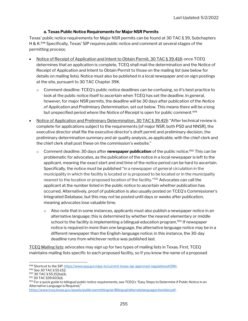#### a. Texas Public Notice Requirements for Major NSR Permits

Texas' public notice requirements for Major NSR permits can be found at 30 TAC § 39, Subchapters H & K.<sup>948</sup> Specifically, Texas' SIP requires public notice and comment at several stages of the permitting process:

- Notice of Receipt of Application and Intent to Obtain Permit, 30 TAC § 39.418: once TCEQ determines that an application is complete, TCEQ shall mail the determination and the Notice of Receipt of Application and Intent to Obtain Permit to those on the mailing list (see below for details on mailing lists). Notice must also be published in a local newspaper and on sign postings at the site, pursuant to 30 TAC Chapter 39K.
	- $\circ$  Comment deadline: TCEQ's public notice deadlines can be confusing, so it's best practice to look at the public notice itself to ascertain when TCEQ has set the deadline. In general, however, for major NSR permits, the deadline will be 30 days after publication of the Notice of Application and Preliminary Determination, set out below. This means there will be a long but unspecified period where the Notice of Receipt is open for public comment.<sup>949</sup>
- Notice of Application and Preliminary Determination, 30 TAC § 39.419: "After technical review is complete for applications subject to the requirements [of major NSR, both PSD and NNSR], the executive director shall file the executive director's draft permit and preliminary decision, the preliminary determination summary and air quality analysis, as applicable, with the chief clerk and the chief clerk shall post these on the commission's website."
	- $\circ$  Comment deadline: 30 days after **newspaper publication** of the public notice.<sup>950</sup> This can be problematic for advocates, as the publication of the notice in a local newspaper is left to the applicant, meaning the exact start and end time of the notice period can be hard to ascertain. Specifically, the notice must be published "in a newspaper of general circulation in the municipality in which the facility is located or is proposed to be located or in the municipality nearest to the location or proposed location of the facility.<sup>"951</sup> Advocates can call the applicant at the number listed in the public notice to ascertain whether publication has occurred. Alternatively, proof of publication is also usually posted on TCEQ's Commissioner's Integrated Database, but this may not be posted until days or weeks after publication, meaning advocates lose valuable time.
		- $\circ$  Also note that in some instances, applicants must also publish a newspaper notice in an alternative language; this is determined by whether the nearest elementary or middle school to the facility is implementing a bilingual education program.<sup>952</sup> If newspaper notice is required in more than one language, the alternative language notice may be in a different newspaper than the English-language notice; in this instance, the 30-day deadline runs from whichever notice was published last.

TCEQ Mailing lists: advocates may sign up for two types of mailing lists in Texas. First, TCEQ maintains mailing lists specific to each proposed facility, so if you know the name of a proposed

<sup>948</sup> Shortcut to the SIP: https://www.epa.gov/sips-tx/current-texas-sip-approved-regulations#39H.

<sup>949</sup> See 30 TAC § 55.152.

<sup>950</sup> 30 TAC § 55.152(a)(1).

<sup>951</sup> 30 TAC §39.603(d).

<sup>952</sup> For a quick guide to bilingual public notice requirements, see TCEQ's "Easy Steps to Determine if Public Notice in an Alternative Language is Required," https://www.tceq.texas.gov/assets/public/permitting/air/Bilingual/alternatelanguagechecklist.pdf.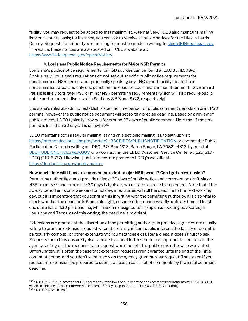facility, you may request to be added to that mailing list. Alternatively, TCEQ also maintains mailing lists on a county basis; for instance, you can ask to receive all public notices for facilities in Harris County. Requests for either type of mailing list must be made in writing to chiefclk@tceq.texas.gov. In practice, these notices are also posted on TCEQ's website at: https://www14.tceq.texas.gov/epic/eNotice/.

#### b. Louisiana Public Notice Requirements for Major NSR Permits

Louisiana's public notice requirements for PSD sources can be found at LAC 33:III.509(Q). Confusingly, Louisiana's regulations do not set out specific public notice requirements for nonattainment NSR permits, but practically speaking any LNG export facility located in a nonattainment area (and only one parish on the coast of Louisiana is in nonattainment—St. Bernard Parish) is likely to trigger PSD or minor NSR permitting requirements (which will also require public notice and comment, discussed in Sections 8.B.3 and 8.C.2, respectively).

Louisiana's rules also do not establish a specific time period for public comment periods on draft PSD permits, however the public notice document will set forth a precise deadline. Based on a review of public notices, LDEQ typically provides for around 35 days of public comment. Note that if the time period is less than 30 days, it is unlawful.<sup>953</sup>

LDEQ maintains both a regular mailing list and an electronic mailing list, to sign up visit https://internet.deq.louisiana.gov/portal/SUBSCRIBES/PUBLICNOTIFICATION or contact the Public Participation Group in writing at LDEQ, P.O. Box 4313, Baton Rouge, LA 70821-4313, by email at DEQ.PUBLICNOTICES@LA.GOV or by contacting the LDEQ Customer Service Center at (225) 219- LDEQ (219-5337). Likewise, public notices are posted to LDEQ's website at: https://deq.louisiana.gov/public-notices.

#### How much time will I have to comment on a draft major NSR permit? Can I get an extension?

Permitting authorities must provide at least 30 days of public notice and comment on draft Major NSR permits,<sup>954</sup> and in practice 30 days is typically what states choose to implement. Note that if the 30-day period ends on a weekend or holiday, most states will roll the deadline to the next working day, but it is imperative that you confirm this in writing with the permitting authority. It is also vital to check whether the deadline is 5 pm, midnight, or some other unnecessarily arbitrary time (at least one state has a 4:30 pm deadline, which seems designed to trip up unsuspecting advocates). In Louisiana and Texas, as of this writing, the deadline is midnight.

Extensions are granted at the discretion of the permitting authority. In practice, agencies are usually willing to grant an extension request when there is significant public interest, the facility or permit is particularly complex, or other extenuating circumstances exist. Regardless, it doesn't hurt to ask. Requests for extensions are typically made by a brief letter sent to the appropriate contacts at the agency setting out the reasons that a request would benefit the public or is otherwise warranted. Unfortunately, it is often the case that extension requests aren't granted until the end of the initial comment period, and you don't want to rely on the agency granting your request. Thus, even if you request an extension, be prepared to submit at least a basic set of comments by the initial comment deadline.

<sup>953 40</sup> C.F.R. § 52.21(q) states that PSD permits must follow the public notice and comment requirements of 40 C.F.R. § 124, which, in turn, includes a requirement for at least 30 days of public comment. 40 C.F.R. § 124.10(b)(1). 954 40 C.F.R. § 124.10(b)(1).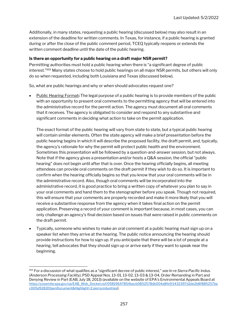Additionally, in many states, requesting a public hearing (discussed below) may also result in an extension of the deadline for written comments. In Texas, for instance, if a public hearing is granted during or after the close of the public comment period, TCEQ typically reopens or extends the written comment deadline until the date of the public hearing.

#### Is there an opportunity for a public hearing on a draft major NSR permit?

Permitting authorities must hold a public hearing when there is "a significant degree of public interest."<sup>955</sup> Many states choose to hold public hearings on all major NSR permits, but others will only do so when requested, including both Louisiana and Texas (discussed below).

So, what are public hearings and why or when should advocates request one?

Public Hearing Format: The legal purpose of a public hearing is to provide members of the public with an opportunity to present oral comments to the permitting agency that will be entered into the administrative record for the permit action. The agency must document all oral comments that it receives. The agency is obligated to consider and respond to any substantive and significant comments in deciding what action to take on the permit application.

The exact format of the public hearing will vary from state to state, but a typical public hearing will contain similar elements. Often the state agency will make a brief presentation before the public hearing begins in which it will describe the proposed facility, the draft permit, and, typically, the agency's rationale for why the permit will protect public health and the environment. Sometimes this presentation will be followed by a question-and-answer session, but not always. Note that if the agency gives a presentation and/or hosts a Q&A session, the official "public hearing" does not begin until after that is over. Once the hearing officially begins, all meeting attendees can provide oral comments on the draft permit if they wish to do so. It is important to confirm when the hearing officially begins so that you know that your oral comments will be in the administrative record. Also, though oral comments will be incorporated into the administrative record, it is good practice to bring a written copy of whatever you plan to say in your oral comments and hand them to the stenographer before you speak. Though not required, this will ensure that your comments are properly recorded and make it more likely that you will receive a substantive response from the agency when it takes final action on the permit application. Preserving a record of your comment is important because, in most cases, you can only challenge an agency's final decision based on issues that were raised in public comments on the draft permit.

 Typically, someone who wishes to make an oral comment at a public hearing must sign up on a speaker list when they arrive at the hearing. The public notice announcing the hearing should provide instructions for how to sign up. If you anticipate that there will be a lot of people at a hearing, tell advocates that they should sign up or arrive early if they want to speak near the beginning.

<sup>955</sup> For a discussion of what qualifies as a "significant decree of public interest," see In re Sierra Pacific Indus. (Anderson Processing Facility), PSD Appeal Nos. 13-01, 13-02, 13-03 & 13-04, Order Remanding in Part and Denying Review in Part (EAB, July 18, 2013) (available on the website of EPA's Environmental Appeals Board at https://yosemite.epa.gov/oa/EAB\_Web\_Docket.nsf/05819647854bacb0852578db004a8fe9/1432397d2de2b8f885257ba c005d9283!OpenDocument&Highlight=2,sierra,industries).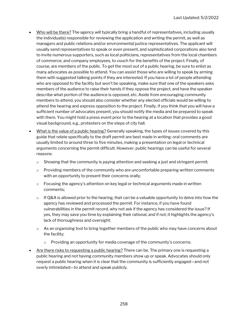- Who will be there? The agency will typically bring a handful of representatives, including usually the individual(s) responsible for reviewing the application and writing the permit, as well as managers and public relations and/or environmental justice representatives. The applicant will usually send representatives to speak or even present, and sophisticated corporations also tend to invite numerous supporters, such as local politicians, representatives from the local chambers of commerce, and company employees, to vouch for the benefits of the project. Finally, of course, are members of the public. To get the most out of a public hearing, be sure to enlist as many advocates as possible to attend. You can assist those who are willing to speak by arming them with suggested talking points if they are interested. If you have a lot of people attending who are opposed to the facility but won't be speaking, make sure that one of the speakers asks members of the audience to raise their hands if they oppose the project, and have the speaker describe what portion of the audience is opposed, etc. Aside from encouraging community members to attend, you should also consider whether any elected officials would be willing to attend the hearing and express opposition to the project. Finally, if you think that you will have a sufficient number of advocates present, you should notify the media and be prepared to speak with them. You might hold a press event prior to the hearing at a location that provides a good visual background, e.g., protesters on the steps of city hall.
- What is the value of a public hearing? Generally speaking, the types of issues covered by this guide that relate specifically to the draft permit are best made in writing; oral comments are usually limited to around three to five minutes, making a presentation on legal or technical arguments concerning the permit difficult. However, public hearings can be useful for several reasons:
	- $\circ$  Showing that the community is paying attention and seeking a just and stringent permit;
	- $\circ$  Providing members of the community who are uncomfortable preparing written comments with an opportunity to present their concerns orally;
	- $\circ$  Focusing the agency's attention on key legal or technical arguments made in written comments;
	- $\circ$  If Q&A is allowed prior to the hearing, that can be a valuable opportunity to delve into how the agency has reviewed and processed the permit. For instance, if you have found vulnerabilities in the permit record, why not ask if the agency has considered the issue? If yes, they may save you time by explaining their rational, and if not, it highlights the agency's lack of thoroughness and oversight;
	- $\circ$  As an organizing tool to bring together members of the public who may have concerns about the facility;
		- $\circ$  Providing an opportunity for media coverage of the community's concerns.
- Are there risks to requesting a public hearing? There can be. The primary one is requesting a public hearing and not having community members show up or speak. Advocates should only request a public hearing when it is clear that the community is sufficiently engaged—and not overly intimidated—to attend and speak publicly.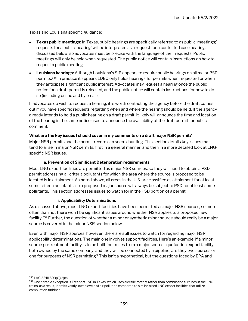#### Texas and Louisiana specific guidance:

- Texas public meetings: In Texas, public hearings are specifically referred to as public 'meetings;' requests for a public 'hearing' will be interpreted as a request for a contested case hearing, discussed below, so advocates must be precise with the language of their requests. Public meetings will only be held when requested. The public notice will contain instructions on how to request a public meeting.
- Louisiana hearings: Although Louisiana's SIP appears to require public hearings on all major PSD permits,<sup>956</sup> in practice it appears LDEQ only holds hearings for permits when requested or when they anticipate significant public interest. Advocates may request a hearing once the public notice for a draft permit is released, and the public notice will contain instructions for how to do so (including online and by email).

If advocates do wish to request a hearing, it is worth contacting the agency before the draft comes out if you have specific requests regarding when and where the hearing should be held. If the agency already intends to hold a public hearing on a draft permit, it likely will announce the time and location of the hearing in the same notice used to announce the availability of the draft permit for public comment.

#### What are the key issues I should cover in my comments on a draft major NSR permit?

Major NSR permits and the permit record can seem daunting. This section details key issues that tend to arise in major NSR permits, first in a general manner, and then in a more detailed look at LNGspecific NSR issues.

#### a. Prevention of Significant Deterioration requirements

Most LNG export facilities are permitted as major NSR sources, so they will need to obtain a PSD permit addressing all criteria pollutants for which the area where the source is proposed to be located is in attainment. As noted above, all areas in the U.S. are classified as attainment for at least some criteria pollutants, so a proposed major source will always be subject to PSD for at least some pollutants. This section addresses issues to watch for in the PSD portion of a permit.

#### i. Applicability Determinations

As discussed above, most LNG export facilities have been permitted as major NSR sources, so more often than not there won't be significant issues around whether NSR applies to a proposed new facility.<sup>957</sup> Further, the question of whether a minor or synthetic minor source should really be a major source is covered in the minor NSR section below.

Even with major NSR sources, however, there are still issues to watch for regarding major NSR applicability determinations. The main one involves support facilities. Here's an example: if a minor source pretreatment facility is to be built four miles from a major source liquefaction export facility, both owned by the same company, and they will be connected by a pipeline, are they two sources or one for purposes of NSR permitting? This isn't a hypothetical, but the questions faced by EPA and

<sup>956</sup> LAC 33:III:509(Q)(2)(c).

<sup>957</sup> One notable exception is Freeport LNG in Texas, which uses electric motors rather than combustion turbines in the LNG trains; as a result, it emits vastly lower levels of air pollution compared to similar-sized LNG export facilities that utilize combustion turbines.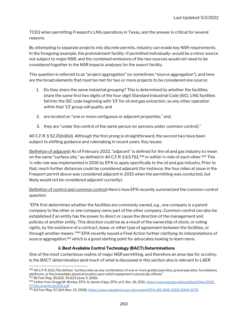TCEQ when permitting Freeport's LNG operations in Texas, and the answer is critical for several reasons.

By attempting to separate projects into discrete permits, industry can evade key NSR requirements. In the foregoing example, the pretreatment facility–if permitted individually–would be a minor source not subject to major NSR, and the combined emissions of the two sources would not need to be considered together in the NSR impacts analyses for the export facility.

This question is referred to as "project aggregation" (or sometimes "source aggregation"), and here are the broad elements that must be met for two or more projects to be considered one source:

- 1. Do they share the same industrial grouping? This is determined by whether the facilities share the same first two digits of the four-digit Standard Industrial Code (SIC). LNG facilities fall into the SIC code beginning with '13' for oil and gas extraction, so any other operation within that '13' group will qualify, and
- 2. are located on "one or more contiguous or adjacent properties," and,
- 3. they are "under the control of the same person (or persons under common control)."

40 C.F.R. § 52.21(b)(6)(i). Although the first prong is straightforward, the second two have been subject to shifting guidance and rulemaking in recent years. Key issues:

Definition of adjacent: As of February 2022, "adjacent" is defined for the oil and gas industry to mean on the same "surface site," as defined in 40 C.F.R. § 63.761,<sup>958</sup> or within 1/4 mile of each other.<sup>959</sup> This ¼ mile rule was implemented in 2016 by EPA to apply specifically to the oil and gas industry. Prior to that, much further distances could be considered adjacent (for instance, the four miles at issue in the Freeport permit above was considered adjacent in 2015 when the permitting was conducted, but likely would not be considered adjacent currently).

Definition of control and common control: Here's how EPA recently summarized the common control question:

"EPA first determines whether the facilities are commonly owned, e.g., one company is a parent company to the other or one company owns part of the other company. Common control can also be established if an entity has the power to direct or cause the direction of the management and policies of another entity. This direction could be as a result of the ownership of stock, or voting rights, by the existence of a contract, lease, or other type of agreement between the facilities, or through another means."<sup>960</sup> EPA recently issued a Final Action further clarifying its interpretations of source aggregation,<sup>961</sup> which is a good starting point for advocates looking to learn more.

#### ii. Best Available Control Technology (BACT) Determinations

One of the most contentious realms of major NSR permitting, and therefore an area ripe for scrutiny, is the BACT determination (and much of what is discussed in this section also is relevant to LAER

<sup>958 40</sup> C.F.R. § 63.761 defines "surface sites as any combination of one or more graded pad sites, gravel pad sites, foundations, platforms, or the immediate physical location upon which equipment is physically affixed." 959 81 Fed. Reg. 35,622, 35,623 (June 3, 2016).

<sup>960</sup> Letter from Gregg M. Worley, EPA, to James Capp, EPA, at 2, Dec. 16, 2011, https://www.epa.gov/sites/default/files/2015-07/documents/ps2011.pdf.

<sup>961 83</sup> Fed. Reg. 57,324 (Nov. 15, 2018), https://www.regulations.gov/document/EPA-HQ-OAR-2003-0064-0175.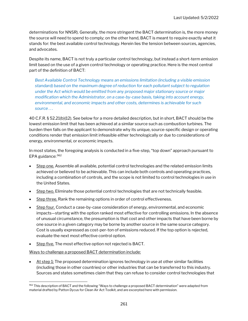determinations for NNSR). Generally, the more stringent the BACT determination is, the more money the source will need to spend to comply; on the other hand, BACT is meant to require exactly what it stands for: the best available control technology. Herein lies the tension between sources, agencies, and advocates.

Despite its name, BACT is not truly a particular control technology, but instead a short-term emission limit based on the use of a given control technology or operating practice. Here is the most central part of the definition of BACT:

Best Available Control Technology means an emissions limitation (including a visible emission standard) based on the maximum degree of reduction for each pollutant subject to regulation under the Act which would be emitted from any proposed major stationary source or major modification which the Administrator, on a case-by-case basis, taking into account energy, environmental, and economic impacts and other costs, determines is achievable for such source . . .

40 C.F.R. § 52.21(b)(12). See below for a more detailed description, but in short, BACT should be the lowest emission limit that has been achieved at a similar source such as combustion turbines. The burden then falls on the applicant to demonstrate why its unique, source-specific design or operating conditions render that emission limit infeasible either technologically or due to considerations of energy, environmental, or economic impacts.

In most states, the foregoing analysis is conducted in a five-step, "top down" approach pursuant to EPA guidance: <sup>962</sup>

- Step one. Assemble all available, potential control technologies and the related emission limits achieved or believed to be achievable. This can include both controls and operating practices, including a combination of controls, and the scope is not limited to control technologies in use in the United States.
- Step two. Eliminate those potential control technologies that are not technically feasible.
- Step three. Rank the remaining options in order of control effectiveness.
- Step four. Conduct a case-by-case consideration of energy, environmental, and economic impacts—starting with the option ranked most effective for controlling emissions. In the absence of unusual circumstance, the presumption is that cost and other impacts that have been borne by one source in a given category may be borne by another source in the same source category. Cost is usually expressed as cost-per-ton of emissions reduced. If the top option is rejected, evaluate the next most effective control option.
- Step five. The most effective option not rejected is BACT.

Ways to challenge a proposed BACT determination include:

 $\bullet$  At step 1: The proposed determination ignores technology in use at other similar facilities (including those in other countries) or other industries that can be transferred to this industry. Sources and states sometimes claim that they can refuse to consider control technologies that

<sup>962</sup> This description of BACT and the following "Ways to challenge a proposed BACT determination" were adapted from material drafted by Patton Dycus for Clean Air Act Toolkit, and are excerpted here with permission.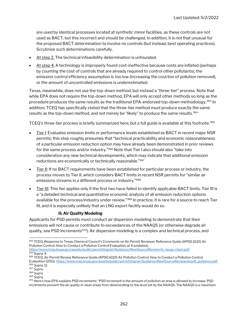are used by identical processes located at synthetic minor facilities, as these controls are not used as BACT, but this incorrect and should be challenged. In addition, it is not that unusual for the proposed BACT determination to involve no controls (but instead, best operating practices). Scrutinize such determinations carefully.

- At step 2. The technical infeasibility determination is unfounded.
- At step 4. A technology is improperly found cost-ineffective because costs are inflated (perhaps by counting the cost of controls that are already required to control other pollutants), the emission control efficiency assumption is too low (increasing the cost/ton of pollution removed), or the amount of uncontrolled emissions is underestimated.

Texas, meanwhile, does not use the top-down method, but instead a "three-tier" process. Note that while EPA does not require the top-down method, EPA will only accept other methods so long as the procedure produces the same results as the traditional EPA-endorsed top-down methodology.<sup>963</sup> In addition, TCEQ has specifically stated that the three-tier method must produce exactly the same results as the top-down method, and not merely be "likely" to produce the same results.<sup>964</sup>

TCEQ's three-tier process is briefly summarized here, but a full guide is available at this footnote.<sup>965</sup>

- Tier I: Evaluates emission limits or performance levels established as BACT in recent major NSR permits; this step roughly presumes that "technical practicability and economic reasonableness of a particular emission reduction option may have already been demonstrated in prior reviews for the same process and/or industry."<sup>966</sup> Note that Tier I also should also "take into consideration any new technical developments, which may indicate that additional emission reductions are economically or technically reasonable."<sup>967</sup>
- Tier II: If no BACT requirements have been established for particular process or industry, the process moves to Tier II, which considers BACT limits in recent NSR permits for "similar air emissions streams in a different process or industry."<sup>968</sup>
- Tier III: This tier applies only if the first two have failed to identify applicable BACT limits. Tier III is a "a detailed technical and quantitative economic analysis of all emission reduction options available for the process/industry under review."<sup>969</sup> In practice, it is rare for a source to reach Tier III, and it is especially unlikely that an LNG export facility would do so.

#### iii. Air Quality Modeling

Applicants for PSD permits must conduct air dispersion modeling to demonstrate that their emissions will not cause or contribute to exceedances of the NAAQS (or otherwise degrade air quality, see PSD Increments<sup>970</sup>). Air dispersion modeling is a complex and technical process, and

<sup>963</sup> TCEQ, Response to Texas Chemical Council's Comments on Air Permit Reviewer Reference Guide (APDG 6110) Air Pollution Control: How to Conduct a Pollution Control Evaluation, at 4 (undated), https://www.tceq.texas.gov/assets/public/permitting/air/Guidance/NewSourceReview/rtc-texas-chem.pdf. <sup>964</sup> Supra, 4.

<sup>965</sup> TCEQ, Air Permit Review Reference Guide (APDG 6110) Air Pollution Control: How to Conduct a Pollution Control Evaluation (2011), https://www.tceq.texas.gov/assets/public/permitting/air/Guidance/NewSourceReview/airpoll\_guidance.pdf. 966 Supra, 11.

<sup>967</sup> Supra.

<sup>968</sup> Supra.

<sup>969</sup> Supra.

<sup>970</sup> Here's how EPA explains PSD increments: "PSD increment is the amount of pollution an area is allowed to increase. PSD increments prevent the air quality in clean areas from deteriorating to the level set by the NAAQS. The NAAQS is a maximum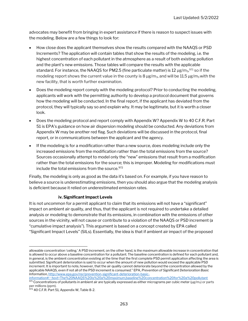advocates may benefit from bringing in expert assistance if there is reason to suspect issues with the modeling. Below are a few things to look for:

- How close does the applicant themselves show the results compared with the NAAQS or PSD Increments? The application will contain tables that show the results of the modeling, i.e. the highest concentration of each pollutant in the atmosphere as a result of both existing pollution and the plant's new emissions. Those tables will compare the results with the applicable standard. For instance, the NAAQS for PM2.5 (fine particulate matter) is 12  $\mu$ g/m $_{3}$ , $^{971}$  so if the modeling report shows the current value in the county is 8  $\mu$ g/m<sub>3</sub>, and will be 11.5  $\mu$ g/m<sub>3</sub> with the new facility, that is worth further examination.
- Does the modeling report comply with the modeling protocol? Prior to conducting the modeling, applicants will work with the permitting authority to develop a protocol document that governs how the modeling will be conducted. In the final report, if the applicant has deviated from the protocol, they will typically say so and explain why. It may be legitimate, but it is worth a closer look.
- Does the modeling protocol and report comply with Appendix W? Appendix W to 40 C.F.R. Part 51 is EPA's guidance on how air dispersion modeling should be conducted. Any deviations from Appendix W may be another red flag. Such deviations will be discussed in the protocol, final report, or in communications between the applicant and the agency.
- If the modeling is for a modification rather than a new source, does modeling include only the increased emissions from the modification rather than the total emissions from the source? Sources occasionally attempt to model only the "new" emissions that result from a modification rather than the total emissions for the source; this is improper. Modeling for modifications must include the total emissions from the source.<sup>972</sup>

Finally, the modeling is only as good as the data it's based on. For example, if you have reason to believe a source is underestimating emissions, then you should also argue that the modeling analysis is deficient because it relied on underestimated emission rates.

#### iv. Significant Impact Levels

It is not uncommon for a permit applicant to claim that its emissions will not have a "significant" impact on ambient air quality, and thus, that the applicant is not required to undertake a detailed analysis or modeling to demonstrate that its emissions, in combination with the emissions of other sources in the vicinity, will not cause or contribute to a violation of the NAAQS or PSD increment (a "cumulative impact analysis"). This argument is based on a concept created by EPA called "Significant Impact Levels" (SILs). Essentially, the idea is that if ambient air impact of the proposed

allowable concentration 'ceiling.' A PSD increment, on the other hand, is the maximum allowable increase in concentration that is allowed to occur above a baseline concentration for a pollutant. The baseline concentration is defined for each pollutant and, in general, is the ambient concentration existing at the time that the first complete PSD permit application affecting the area is submitted. Significant deterioration is said to occur when the amount of new pollution would exceed the applicable PSD increment. It is important to note, however, that the air quality cannot deteriorate beyond the concentration allowed by the applicable NAAQS, even if not all of the PSD increment is consumed." EPA, Prevention of Significant Deterioration Basic Information, http://www.epa.gov/nsr/prevention-significant-deterioration-basic-

information#:~:text=The%20NAAQS%20is%20a%20maximum,baseline%20concentration%20for%20a%20pollutant  $971$  Concentrations of pollutants in ambient air are typically expressed as either micrograms per cubic meter (μg/m<sub>3</sub>) or parts per millions (ppm).

<sup>972 40</sup> C.F.R. Part 51, Appendix W, Table 8-2.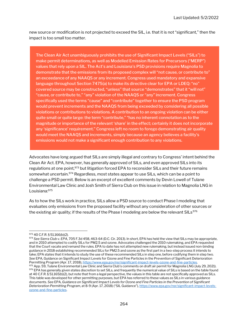new source or modification is not projected to exceed the SIL, i.e. that it is not "significant," then the impact is too small too matter.

The Clean Air Act unambiguously prohibits the use of Significant Impact Levels ("SILs") to make permit determinations, as well as Modelled Emission Rates for Precursors ("MERP") values that rely upon a SIL. The Act's and Louisiana's PSD provisions require Magnolia to demonstrate that the emissions from its proposed complex will "not cause, or contribute to" an exceedance of any NAAQS or any increment. Congress used mandatory and expansive language throughout Section 7475(a) to make its directive clear for EPA or LDEQ: "no" covered source may be constructed, "unless" that source "demonstrates" that it "will not" "cause, or contribute to," "any" violation of the NAAQS or "any" increment. Congress specifically used the terms "cause" and "contribute" together to ensure the PSD program would prevent increments and the NAAQS from being exceeded by considering all possible violations or contributions to violations. A contribution to an ongoing violation can be either quite small or quite large: the term "contribute," "has no inherent connotation as to the magnitude or importance of the relevant 'share' in the effect; certainly it does not incorporate any 'significance' requirement." Congress left no room to forego demonstrating air quality would meet the NAAQS and increments, simply because an agency believes a facility's emissions would not make a significant enough contribution to any violations.

Advocates have long argued that SILs are simply illegal and contrary to Congress' intent behind the Clean Air Act. EPA, however, has generally approved of SILs, and even approved SILs into its regulations at one point,<sup>973</sup> but litigation forced EPA to reconsider SILs and their future remains somewhat uncertain.<sup>974</sup> Regardless, most states appear to use SILs, which can be a point to challenge a PSD permit. Below is an excerpt of excellent comments by Devin Lowell of Tulane Environmental Law Clinic and Josh Smith of Sierra Club on this issue in relation to Magnolia LNG in Louisiana:<sup>975</sup>

As to how the SILs work in practice, SILs allow a PSD source to conduct Phase I modeling that evaluates only emissions from the proposed facility without any consideration of other sources or the existing air quality; if the results of the Phase I modeling are below the relevant  $SILs<sup>976</sup>$ 

<sup>973</sup> 40 C.F.R. § 51.166(b)(2).

<sup>974</sup> See Sierra Club v. EPA, 705 F.3d 458, 463-64 (D.C. Cir. 2013). In short, EPA has held the view that SILs may be appropriate, and in 2010 attempted to codify SILs for PM2.5 and ozone. Advocates challenged the 2010 rulemaking, and EPA requested that the Court vacate and remand the rules. EPA to date has not attempted new rulemaking, but instead issued non-binding guidance in 2018 establishing recommended SILs for PM2.5 and ozone as the first part in a two-step process it intends to take; EPA states that it intends to study the use of these recommended SILs in step one, before codifying them in step two. See EPA, Guidance on Significant Impact Levels for Ozone and Fine Particles in the Prevention of Significant Deterioration Permitting Program (Apr. 17, 2018), https://www.epa.gov/nsr/significant-impact-levels-ozone-and-fine-particles.

<sup>975</sup> App. 59, Tulane Environmental Law Clinic and Sierra Club's comments on draft air permit for Magnolia LNG (July 29, 2021). 976 EPA has generally given states discretion to set SILs, and frequently the numerical value of SILs is based on the table found at 40 C.F.R. § 51.165(b)(2), but note that from a legal perspective, the values in this table are not specifically approved as SILs. This table was developed for other permitting purposes, but EPA has referred to these values as SILs in various guidance documents. See EPA, Guidance on Significant Impact Levels for Ozone and Fine Particles in the Prevention of Significant Deterioration Permitting Program, at 8-9 (Apr. 17, 2018) ("SIL Guidance"), https://www.epa.gov/nsr/significant-impact-levelsozone-and-fine-particles.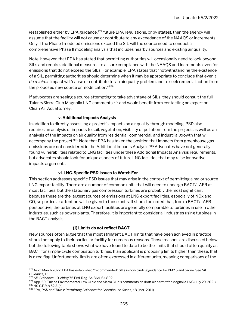(established either by EPA guidance, 977 future EPA regulations, or by states), then the agency will assume that the facility will not cause or contribute to any exceedance of the NAAQS or increments. Only if the Phase I modeled emissions exceed the SIL will the source need to conduct a comprehensive Phase II modeling analysis that includes nearby sources and existing air quality.

Note, however, that EPA has stated that permitting authorities will occasionally need to look beyond SILs and require additional measures to assure compliance with the NAAQS and Increments even for emissions that do not exceed the SILs. For example, EPA states that "notwithstanding the existence of a SIL, permitting authorities should determine when it may be appropriate to conclude that even a de minimis impact will 'cause or contribute to' an air quality problem and to seek remedial action from the proposed new source or modification."<sup>978</sup>

If advocates are seeing a source attempting to take advantage of SILs, they should consult the full Tulane/Sierra Club Magnolia LNG comments, 979 and would benefit from contacting an expert or Clean Air Act attorney.

#### v. Additional Impacts Analysis

In addition to directly assessing a project's impacts on air quality through modeling, PSD also requires an analysis of impacts to soil, vegetation, visibility of pollution from the project, as well as an analysis of the impacts on air quality from residential, commercial, and industrial growth that will accompany the project.<sup>980</sup> Note that EPA has taken the position that impacts from greenhouse gas emissions are not considered in the Additional Impacts Analysis.<sup>981</sup> Advocates have not generally found vulnerabilities related to LNG facilities under these Additional Impacts Analysis requirements, but advocates should look for unique aspects of future LNG facilities that may raise innovative impacts arguments.

#### vi. LNG-Specific PSD Issues to Watch For

This section addresses specific PSD issues that may arise in the context of permitting a major source LNG export facility. There are a number of common units that will need to undergo BACT/LAER at most facilities, but the stationary gas compression turbines are probably the most significant because these are the largest sources of emissions at LNG export facilities, especially of NOx and CO, so particular attention will be given to those units. It should be noted that, from a BACT/LAER perspective, the turbines at LNG export facilities are generally comparable to turbines in use in other industries, such as power plants. Therefore, it is important to consider all industries using turbines in the BACT analysis.

#### (1) Limits do not reflect BACT

New sources often argue that the most stringent BACT limits that have been achieved in practice should not apply to their particular facility for numerous reasons. Those reasons are discussed below, but the following table shows what we have found to date to be the limits that should often qualify as BACT for simple-cycle combustion turbines. If an applicant is proposing limits higher than these, that is a red flag. Unfortunately, limits are often expressed in different units, meaning comparisons of the

<sup>977</sup> As of March 2022, EPA has established "recommended" SILs in non-binding guidance for PM2.5 and ozone. See SIL Guidance, 15.

<sup>978</sup> SIL Guidance, 10, citing 75 Fed. Reg. 64,864, 64,892.

<sup>979</sup> App. 59, Tulane Environmental Law Clinic and Sierra Club's comments on draft air permit for Magnolia LNG (July 29, 2021). <sup>980</sup> 40 C.F.R. § 52.21(o).

<sup>981</sup> EPA, PSD and Title V Permitting Guidance for Greenhouse Gases, 48 (Mar. 2011).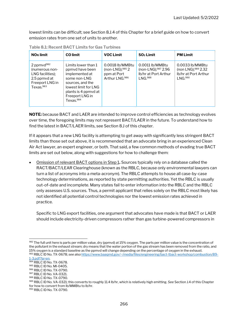lowest limits can be difficult; see Section 8.J.4 of this Chapter for a brief guide on how to convert emission rates from one set of units to another.

| NO <sub>x</sub> limit                                                                                     | <b>CO</b> limit                                                                                                                                                                          | <b>VOC Limit</b>                                                                   | $SO2$ Limit                                                                                | <b>PM Limit</b>                                                                        |
|-----------------------------------------------------------------------------------------------------------|------------------------------------------------------------------------------------------------------------------------------------------------------------------------------------------|------------------------------------------------------------------------------------|--------------------------------------------------------------------------------------------|----------------------------------------------------------------------------------------|
| 2 ppm $vd^{982}$<br>Inumerous non-<br>LNG facilities);<br>2.5 ppmvd at<br>Freeport LNG in<br>Texas. $983$ | Limits lower than 1<br>ppmyd have been<br>implemented at<br>some non-LNG<br>sources, and the<br>lowest limit for LNG<br>plants is 4 ppmyd at<br>Freeport LNG in<br>Texas. <sup>984</sup> | 0.0018 lb/MMBtu<br>(non-LNG); $985$ 2<br>ppm at Port<br>Arthur LNG. <sup>986</sup> | 0.0011 lb/MMBtu<br>(non-LNG); <sup>987</sup> 2.96<br>Ib/hr at Port Arthur<br>$N$ NG. $988$ | 0.0033 lb/MMBtu<br>(non LNG); <sup>989</sup> 2.32<br>Ib/hr at Port Arthur<br>I NG. 990 |

Table 8.1: Recent BACT Limits for Gas Turbines

NOTE: because BACT and LAER are intended to improve control efficiencies as technology evolves over time, the foregoing limits may not represent BACT/LAER in the future. To understand how to find the latest in BACT/LAER limits, see Section 8.J of this chapter.

If it appears that a new LNG facility is attempting to get away with significantly less stringent BACT limits than those set out above, it is recommended that an advocate bring in an experienced Clean Air Act lawyer, an expert engineer, or both. That said, a few common methods of evading true BACT limits are set out below, along with suggestions for how to challenge them:

 Omission of relevant BACT options in Step 1. Sources typically rely on a database called the RACT/BACT/LEAR Clearinghouse (known as the RBLC, because only environmental lawyers can turn a list of acronyms into a meta-acronym). The RBLC attempts to house all case-by-case technology determinations, as reported by state permitting authorities. Yet the RBLC is usually out-of-date and incomplete. Many states fail to enter information into the RBLC and the RBLC only assesses U.S. sources. Thus, a permit applicant that relies solely on the RBLC most likely has not identified all potential control technologies nor the lowest emission rates achieved in practice.

Specific to LNG export facilities, one argument that advocates have made is that BACT or LAER should include electricity-driven compressors rather than gas turbine-powered compressors in

<sup>982</sup> The full unit here is parts per million value, dry (ppmvd) at 15% oxygen. The parts per million value is the concentration of the pollutant in the exhaust stream; dry means that the water portion of the gas stream has been removed from the ratio, and 15% oxygen is a standard baseline as the ppmvd will change depending on the percentage of oxygen in the exhaust. 983 RBLC ID No. TX-0678; see also https://www.baaqmd.gov/~/media/files/engineering/bact-tbact-workshop/combustion/89-

<sup>1-3.</sup>pdf?la=en.

<sup>984</sup> RBLC ID No. TX-0678.

<sup>985</sup> RBLC ID No. MI-0405.

<sup>986</sup> RBLC ID No. TX-0790.

<sup>987</sup> RBLC ID No. VA-0321. 988 RBLC ID No. TX-0790.

<sup>989</sup> RBLC ID No. VA-0321; this converts to roughly 11.4 lb/hr, which is relatively high emitting. See Section J.4 of this Chapter for how to convert from lb/MMBtu to lb/hr.

<sup>990</sup> RBLC ID No. TX-0790.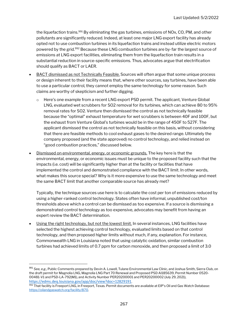the liquefaction trains.<sup>991</sup> By eliminating the gas turbines, emissions of NOx, CO, PM, and other pollutants are significantly reduced. Indeed, at least one major LNG export facility has already opted not to use combustion turbines in its liquefaction trains and instead utilize electric motors powered by the grid.<sup>992</sup> Because these LNG combustion turbines are by-far the largest source of emissions at LNG export facilities, eliminating them from the liquefaction train results in a substantial reduction in source-specific emissions. Thus, advocates argue that electrification should qualify as BACT or LAER.

- BACT dismissed as not Technically Feasible. Sources will often argue that some unique process or design inherent to their facility means that, where other sources, say turbines, have been able to use a particular control, they cannot employ the same technology for some reason. Such claims are worthy of skepticism and further digging.
	- o Here's one example from a recent LNG export PSD permit. The applicant, Venture Global LNG, evaluated wet scrubbers for SO2 removal for its turbines, which can achieve 80 to 95% removal rates for SO2. Venture then dismissed the control as not technically feasible because the "optimal" exhaust temperature for wet scrubbers is between 40F and 100F, but the exhaust from Venture Global's turbines would be in the range of 450F to 527F. The applicant dismissed the control as not technically feasible on this basis, without considering that there are feasible methods to cool exhaust gases to the desired range. Ultimately the company proposed (and the state approved) no control technology, and relied instead on "good combustion practices," discussed below.
- Dismissed on environmental, energy, or economic grounds. The key here is that the environmental, energy, or economic issues must be unique to the proposed facility such that the impacts (i.e. cost) will be significantly higher than at the facility or facilities that have implemented the control and demonstrated compliance with the BACT limit. In other words, what makes this source special? Why is it more expensive to use the same technology and meet the same BACT limit that another comparable source has already met?

Typically, the technique sources use here is to calculate the cost per ton of emissions reduced by using a higher-ranked control technology. States often have informal, unpublished cost/ton thresholds above which a control can be dismissed as too expensive. If a source is dismissing a demonstrated control technology as too expensive, advocates may benefit from having an expert review the BACT determination.

 Using the right technology, but not the lowest limit. In several instances, LNG facilities have selected the highest achieving control technology, evaluated limits based on that control technology, and then proposed higher limits without much, if any, explanation. For instance, Commonwealth LNG in Louisiana noted that using catalytic oxidation, similar combustion turbines had achieved limits of 0.7 ppm for carbon monoxide, and then proposed a limit of 3.0

<sup>991</sup> See, e.g., Public Comments prepared by Devin A. Lowell, Tulane Environmental Law Clinic, and Joshua Smith, Sierra Club, on the draft permit for Magnolia LNG, Magnolia LNG Part 70 Renewal and Proposed PSD AI185639, Permit Number 0520- 00481-V1 and PSD-LA-792(M1), and Activity Number PER20200001 and PER20200002 (July 29, 2021), https://edms.deq.louisiana.gov/app/doc/view?doc=12829191.

<sup>&</sup>lt;sup>992</sup> That facility is Freeport LNG, in Freeport, Texas. Permit documents are available at EIP's Oil and Gas Watch Database: https://oilandgaswatch.org/facility/870.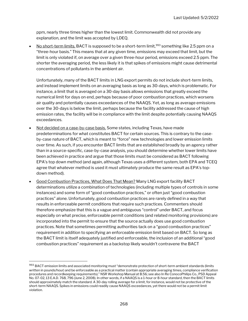ppm, nearly three times higher than the lowest limit. Commonwealth did not provide any explanation, and the limit was accepted by LDEQ.

No short-term limits. BACT is supposed to be a short-term limit,<sup>993</sup> something like 2.5 ppm on a "three-hour basis." This means that at any given time, emissions may exceed that limit, but the limit is only violated if, on average over a given three-hour period, emissions exceed 2.5 ppm. The shorter the averaging period, the less likely it is that spikes of emissions might cause detrimental concentrations of pollutants in the ambient air.

Unfortunately, many of the BACT limits in LNG export permits do not include short-term limits, and instead implement limits on an averaging basis as long as 30-days, which is problematic. For instance, a limit that is averaged on a 30-day basis allows emissions that greatly exceed the numerical limit for days on end, perhaps because of poor combustion practices, which worsens air quality and potentially causes exceedances of the NAAQS. Yet, as long as average emissions over the 30-days is below the limit, perhaps because the facility addressed the cause of high emission rates, the facility will be in compliance with the limit despite potentially causing NAAQS exceedances.

- Not decided on a case-by-case basis. Some states, including Texas, have made predeterminations for what constitutes BACT for certain sources. This is contrary to the caseby-case nature of BACT, which is meant to "force" new technologies and lower emission limits over time. As such, if you encounter BACT limits that are established broadly by an agency rather than in a source-specific, case-by-case analysis, you should determine whether lower limits have been achieved in practice and argue that those limits must be considered as BACT following EPA's top down method (and again, although Texas uses a different system, both EPA and TCEQ agree that whatever method is used it must ultimately produce the same result as EPA's topdown method).
- Good Combustion Practices, What Does That Mean? Many LNG export facility BACT determinations utilize a combination of technologies (including multiple types of controls in some instances) and some form of "good combustion practices," or often just "good combustion practices" alone. Unfortunately, good combustion practices are rarely defined in a way that results in enforceable permit conditions that require such practices. Commenters should therefore emphasize that this is a vague and ambiguous "control" under BACT, and focus especially on what precise, enforceable permit conditions (and related monitoring provisions) are incorporated into the permit to ensure that the source actually does use good combustion practices. Note that sometimes permitting authorities tack on a "good combustion practices" requirement in addition to specifying an enforceable emission limit based on BACT. So long as the BACT limit is itself adequately justified and enforceable, the inclusion of an additional "good combustion practices" requirement as a backstop likely wouldn't contravene the BACT

<sup>993</sup> BACT emission limits and associated monitoring must "demonstrate protection of short-term ambient standards (limits written in pounds/hour) and be enforceable as a practical matter (contain appropriate averaging times, compliance verification procedures and recordkeeping requirements)." NSR Workshop Manual at B.56; see also In Re ConocoPhilips Co., PSD Appeal No. 07-02, 13 E.A.D. 768, 796 (June 2, 2008). In other words, if a NAAQS is a 1-hour or 8-hour standard, then the BACT limits should approximately match the standard. A 30-day rolling average for a limit, for instance, would not be protective of the short-term NAAQS. Spikes in emissions could readily cause NAAQS exceedances, yet there would not be a permit limit violation.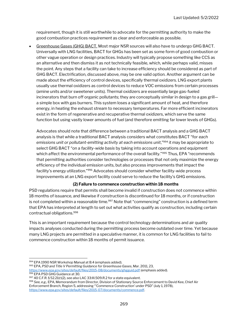requirement, though it is still worthwhile to advocate for the permitting authority to make the good combustion practices requirement as clear and enforceable as possible.

 Greenhouse Gases (GHG) BACT. Most major NSR sources will also have to undergo GHG BACT. Universally with LNG facilities, BACT for GHGs has been set as some form of good combustion or other vague operation or design practices. Industry will typically propose something like CCS as an alternative and then dismiss it as not technically feasible, which, while perhaps valid, misses the point. Any steps that a facility can take to increase efficiency should be considered as part of GHG BACT. Electrification, discussed above, may be one valid option. Another argument can be made about the efficiency of control devices, specifically thermal oxidizers. LNG export plants usually use thermal oxidizers as control devices to reduce VOC emissions from certain processes (amine units and/or sweetener units). Thermal oxidizers are essentially large gas-fueled incinerators that burn off organic pollutants; they are conceptually similar in design to a gas grill a simple box with gas burners. This system loses a significant amount of heat, and therefore energy, in heating the exhaust stream to necessary temperatures. Far more efficient incinerators exist in the form of regenerative and recuperative thermal oxidizers, which serve the same function but using vastly lower amounts of fuel (and therefore emitting far lower levels of GHGs).

Advocates should note that difference between a traditional BACT analysis and a GHG BACT analysis is that while a traditional BACT analysis considers what constitutes BACT "for each emissions unit or pollutant-emitting activity at each emissions unit,"<sup>994</sup> it may be appropriate to select GHG BACT "on a facility-wide basis by taking into account operations and equipment which affect the environmental performance of the overall facility."<sup>995</sup> Thus, EPA "recommends that permitting authorities consider technologies or processes that not only maximize the energy efficiency of the individual emission units, but also process improvements that impact the facility's energy utilization."<sup>996</sup> Advocates should consider whether facility-wide process improvements at an LNG export facility could serve to reduce the facility's GHG emissions.

#### (2) Failure to commence construction within 18 months

PSD regulations require that permits shall become invalid if construction does not commence within 18 months of issuance, and likewise if construction is discontinued for 18 months, or if construction is not completed within a reasonable time.<sup>997</sup> Note that "commencing" construction is a defined term that EPA has interpreted at length to set out what activities qualify as construction, including certain contractual obligations.<sup>998</sup>

This is an important requirement because the control technology determinations and air quality impacts analyses conducted during the permitting process become outdated over time. Yet because many LNG projects are permitted in a speculative manner, it is common for LNG facilities to fail to commence construction within 18 months of permit issuance.

995 EPA, PSD and Title V Permitting Guidance for Greenhouse Gases, Mar. 2011, 23, https://www.epa.gov/sites/default/files/2015-08/documents/ghgguid.pdf (emphasis added). 996 EPA PSD GHG Guidance at 30.

998 See, e.g., EPA, Memorandum from Director, Division of Stationary Source Enforcement to David Kee, Chief Air Enforcement Branch, Region 5, addressing "'Commence Construction' under PSD" (July 1, 1978), https://www.epa.gov/sites/default/files/2015-07/documents/commence.pdf.

<sup>994</sup> EPA 1990 NSR Workshop Manual at B.4 (emphasis added).

 $997$  40 C.F.R. § 52.21(r)(2), see also LAC 33:III.509.R.2 for a state equivalent.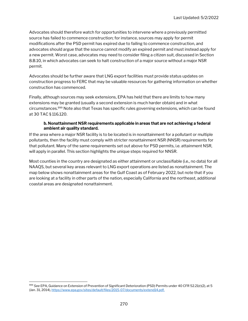Advocates should therefore watch for opportunities to intervene where a previously permitted source has failed to commence construction; for instance, sources may apply for permit modifications after the PSD permit has expired due to failing to commence construction, and advocates should argue that the source cannot modify an expired permit and must instead apply for a new permit. Worst case, advocates may need to consider filing a citizen suit, discussed in Section 8.B.10, in which advocates can seek to halt construction of a major source without a major NSR permit.

Advocates should be further aware that LNG export facilities must provide status updates on construction progress to FERC that may be valuable resources for gathering information on whether construction has commenced.

Finally, although sources may seek extensions, EPA has held that there are limits to how many extensions may be granted (usually a second extension is much harder obtain) and in what circumstances.<sup>999</sup> Note also that Texas has specific rules governing extensions, which can be found at 30 TAC § 116.120.

#### b. Nonattainment NSR requirements applicable in areas that are not achieving a federal ambient air quality standard.

If the area where a major NSR facility is to be located is in nonattainment for a pollutant or multiple pollutants, then the facility must comply with stricter nonattainment NSR (NNSR) requirements for that pollutant. Many of the same requirements set out above for PSD permits, i.e. attainment NSR, will apply in parallel. This section highlights the unique steps required for NNSR.

Most counties in the country are designated as either attainment or unclassifiable (i.e., no data) for all NAAQS, but several key areas relevant to LNG export operations are listed as nonattainment. The map below shows nonattainment areas for the Gulf Coast as of February 2022, but note that if you are looking at a facility in other parts of the nation, especially California and the northeast, additional coastal areas are designated nonattainment.

<sup>999</sup> See EPA, Guidance on Extension of Prevention of Significant Deterioration (PSD) Permits under 40 CFR 52.21(r)(2), at 5 (Jan. 31, 2014), https://www.epa.gov/sites/default/files/2015-07/documents/extend14.pdf.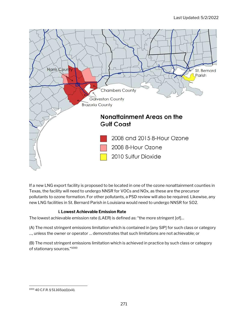

If a new LNG export facility is proposed to be located in one of the ozone nonattainment counties in Texas, the facility will need to undergo NNSR for VOCs and NOx, as these are the precursor pollutants to ozone formation. For other pollutants, a PSD review will also be required. Likewise, any new LNG facilities in St. Bernard Parish in Louisiana would need to undergo NNSR for SO2.

#### i. Lowest Achievable Emission Rate

The lowest achievable emission rate (LAER) is defined as: "the more stringent [of]…

(A) The most stringent emissions limitation which is contained in [any SIP] for such class or category …, unless the owner or operator … demonstrates that such limitations are not achievable; or

(B) The most stringent emissions limitation which is achieved in practice by such class or category of stationary sources."<sup>1000</sup>

<sup>1000</sup> 40 C.F.R. § 51.165(a)(1)(xiii).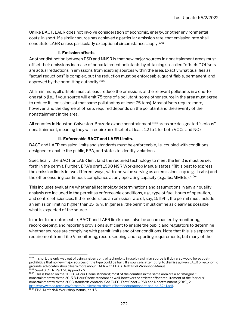Unlike BACT, LAER does not involve consideration of economic, energy, or other environmental costs; in short, if a similar source has achieved a particular emission rate, that emission rate shall constitute LAER unless particularly exceptional circumstances apply.<sup>1001</sup>

#### ii. Emission offsets

Another distinction between PSD and NNSR is that new major sources in nonattainment areas must offset their emissions increase of nonattainment pollutants by obtaining so-called "offsets." Offsets are actual reductions in emissions from existing sources within the area. Exactly what qualifies as "actual reductions" is complex, but the reduction must be enforceable, quantifiable, permanent, and approved by the permitting authority.<sup>1002</sup>

At a minimum, all offsets must at least reduce the emissions of the relevant pollutants in a one-toone ratio (i.e., if your source will emit 75 tons of a pollutant, some other source in the area must agree to reduce its emissions of that same pollutant by at least 75 tons). Most offsets require more, however, and the degree of offsets required depends on the pollutant and the severity of the nonattainment in the area.

All counties in Houston-Galveston-Brazoria ozone nonattainment<sup>1003</sup> areas are designated "serious" nonattainment, meaning they will require an offset of at least 1.2 to 1 for both VOCs and NOx.

#### iii. Enforceable BACT and LAER Limits.

BACT and LAER emission limits and standards must be enforceable, i.e. coupled with conditions designed to enable the public, EPA, and states to identify violations.

Specifically, the BACT or LAER limit (and the required technology to meet the limit) is must be set forth in the permit. Further, EPA's draft 1990 NSR Workshop Manual states: "[I]t is best to express the emission limits in two different ways, with one value serving as an emissions cap (e.g., lbs/hr.) and the other ensuring continuous compliance at any operating capacity (e.g., lbs/MMBtu)."<sup>1004</sup>

This includes evaluating whether all technology determinations and assumptions in any air quality analysis are included in the permit as enforceable conditions, e.g., type of fuel, hours of operation, and control efficiencies. If the model used an emission rate of, say, 15 lb/hr, the permit must include an emission limit no higher than 15 lb/hr. In general, the permit must define as clearly as possible what is expected of the source.

In order to be enforceable, BACT and LAER limits must also be accompanied by monitoring, recordkeeping, and reporting provisions sufficient to enable the public and regulators to determine whether sources are complying with permit limits and other conditions. Note that this is a separate requirement from Title V monitoring, recordkeeping, and reporting requirements, but many of the

 $1004$  EPA, Draft NSR Workshop Manual, at H.5.

<sup>1001</sup> In short, the only way out of using a given control technology in use by a similar source is if doing so would be so costprohibitive that no new major sources of the type could be built. If a source is attempting to dismiss a given LAER on economic grounds, advocates should learn more about LAER with EPA's Draft NSR Workshop Manual. <sup>1002</sup> See 40 C.F.R. Part 51, Appendix S.

<sup>1003</sup> This is based on the 2008 8-Hour Ozone standard; most of the counties in the same area are also "marginal" nonattainment with the 2015 8-Hour Ozone standard as well, however the stricter offset requirement of the "serious" nonattainment with the 2008 standards controls. See TCEQ, Fact Sheet – PSD and Nonattainment (2019), 2, https://www.tceq.texas.gov/assets/public/permitting/air/factsheets/factsheet-psd-na-6241.pdf.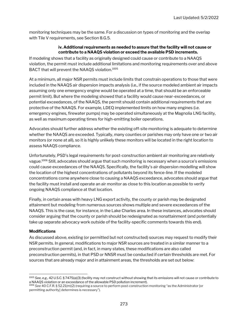monitoring techniques may be the same. For a discussion on types of monitoring and the overlap with Tile V requirements, see Section 8.G.5.

#### iv. Additional requirements as needed to assure that the facility will not cause or contribute to a NAAQS violation or exceed the available PSD increments.

If modeling shows that a facility as originally designed could cause or contribute to a NAAQS violation, the permit must include additional limitations and monitoring requirements over and above BACT that will prevent the NAAQS violation.<sup>1005</sup>

At a minimum, all major NSR permits must include limits that constrain operations to those that were included in the NAAQS air dispersion impacts analysis (i.e., if the source modeled ambient air impacts assuming only one emergency engine would be operated at a time, that should be an enforceable permit limit). But where the modeling showed that a facility would cause near-exceedances, or potential exceedances, of the NAAQS, the permit should contain additional requirements that are protective of the NAAQS. For example, LDEQ implemented limits on how many engines (i.e. emergency engines, firewater pumps) may be operated simultaneously at the Magnolia LNG facility, as well as maximum operating times for high-emitting boiler operations.

Advocates should further address whether the existing off-site monitoring is adequate to determine whether the NAAQS are exceeded. Typically, many counties or parishes may only have one or two air monitors (or none at all), so it is highly unlikely these monitors will be located in the right location to assess NAAQS compliance.

Unfortunately, PSD's legal requirements for post-construction ambient air monitoring are relatively vague.<sup>1006</sup> Still, advocates should argue that such monitoring is necessary when a source's emissions could cause exceedances of the NAAQS. Specifically, the facility's air dispersion modelling will show the location of the highest concentrations of pollutants beyond its fence-line. If the modeled concentrations come anywhere close to causing a NAAQS exceedance, advocates should argue that the facility must install and operate an air monitor as close to this location as possible to verify ongoing NAAQS compliance at that location.

Finally, in certain areas with heavy LNG export activity, the county or parish may be designated attainment but modeling from numerous sources shows multiple and severe exceedances of the NAAQS. This is the case, for instance, in the Lake Charles area. In these instances, advocates should consider arguing that the county or parish should be redesignated as nonattainment (and potentially take up separate advocacy work outside of the facility-specific comments towards this end).

#### **Modifications**

As discussed above, existing (or permitted but not constructed) sources may request to modify their NSR permits. In general, modifications to major NSR sources are treated in a similar manner to a preconstruction permit (and, in fact, in many states, these modifications are also called preconstruction permits), in that PSD or NNSR must be conducted if certain thresholds are met. For sources that are already major and in attainment areas, the thresholds are set out below:

<sup>1005</sup> See, e.g., 42 U.S.C. § 7475(a)(3) (facility may not construct without showing that its emissions will not cause or contribute to a NAAQS violation or an exceedance of the allowable PSD pollution increment).

<sup>1006</sup> See 40 C.F.R. § 52.21(m)(2) (requiring a source to perform post-construction monitoring "as the Administrator [or permitting authority] determines is necessary").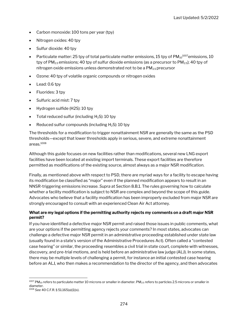- Carbon monoxide: 100 tons per year (tpy)
- Nitrogen oxides: 40 tpy
- Sulfur dioxide: 40 tpy
- Particulate matter: 25 tpy of total particulate matter emissions, 15 tpy of  $PM_{10}^{1007}$ emissions, 10 tpy of  $PM_{2.5}$  emissions; 40 tpy of sulfur dioxide emissions (as a precursor to  $PM_{2.5}$ ); 40 tpy of nitrogen oxide emissions unless demonstrated not to be a  $PM<sub>2.5</sub>$  precursor
- Ozone: 40 tpy of volatile organic compounds or nitrogen oxides
- Lead: 0.6 tpy
- Fluorides: 3 tpy
- Sulfuric acid mist: 7 tpy
- Hydrogen sulfide (H2S): 10 tpy
- Total reduced sulfur (including  $H_2S$ ): 10 tpy
- Reduced sulfur compounds (including  $H_2S$ ): 10 tpy

The thresholds for a modification to trigger nonattainment NSR are generally the same as the PSD thresholds—except that lower thresholds apply in serious, severe, and extreme nonattainment areas.<sup>1008</sup>

Although this guide focuses on new facilities rather than modifications, several new LNG export facilities have been located at existing import terminals. These export facilities are therefore permitted as modifications of the existing source, almost always as a major NSR modification.

Finally, as mentioned above with respect to PSD, there are myriad ways for a facility to escape having its modification be classified as "major" even if the planned modification appears to result in an NNSR-triggering emissions increase. Supra at Section 8.B.1. The rules governing how to calculate whether a facility modification is subject to NSR are complex and beyond the scope of this guide. Advocates who believe that a facility modification has been improperly excluded from major NSR are strongly encouraged to consult with an experienced Clean Air Act attorney.

#### What are my legal options if the permitting authority rejects my comments on a draft major NSR permit?

If you have identified a defective major NSR permit and raised those issues in public comments, what are your options if the permitting agency rejects your comments? In most states, advocates can challenge a defective major NSR permit in an administrative proceeding established under state law (usually found in a state's version of the Administrative Procedures Act). Often called a "contested case hearing" or similar, the proceeding resembles a civil trial in state court, complete with witnesses, discovery, and pre-trial motions, and is held before an administrative law judge (ALJ). In some states, there may be multiple levels of challenging a permit, for instance an initial contested case hearing before an ALJ, who then makes a recommendation to the director of the agency, and then advocates

 $^{1007}$  PM $_{10}$  refers to particulate matter 10 microns or smaller in diameter. PM $_{2.5}$  refers to particles 2.5 microns or smaller in diameter.

<sup>1008</sup> See 40 C.F.R. § 51.165(a)(1)(x).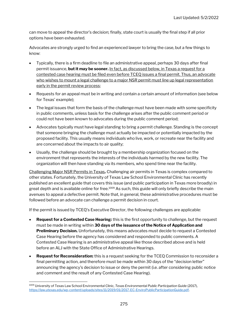can move to appeal the director's decision; finally, state court is usually the final step if all prior options have been exhausted.

Advocates are strongly urged to find an experienced lawyer to bring the case, but a few things to know:

- Typically, there is a firm deadline to file an administrative appeal, perhaps 30 days after final permit issuance, but it may be sooner. In fact, as discussed below, in Texas a request for a contested case hearing must be filed even before TCEQ issues a final permit. Thus, an advocate who wishes to mount a legal challenge to a major NSR permit must line up legal representation early in the permit review process;
- Requests for an appeal must be in writing and contain a certain amount of information (see below for Texas' example);
- The legal issues that form the basis of the challenge must have been made with some specificity in public comments, unless basis for the challenge arises after the public comment period or could not have been known to advocates during the public comment period;
- Advocates typically must have legal standing to bring a permit challenge. Standing is the concept that someone bringing the challenge must actually be impacted or potentially impacted by the proposed facility. This usually means individuals who live, work, or recreate near the facility and are concerned about the impacts to air quality;
- Usually, the challenge should be brought by a membership organization focused on the environment that represents the interests of the individuals harmed by the new facility. The organization will then have standing via its members, who spend time near the facility.

Challenging Major NSR Permits in Texas. Challenging air permits in Texas is complex compared to other states. Fortunately, the University of Texas Law School Environmental Clinic has recently published an excellent guide that covers this issue (and public participation in Texas more broadly) in great depth and is available online for free.<sup>1009</sup> As such, this guide will only briefly describe the main avenues to appeal a defective permit. Note that, in general, these administrative procedures must be followed before an advocate can challenge a permit decision in court.

If the permit is issued by TCEQ's Executive Director, the following challenges are applicable:

- Request for a Contested Case Hearing: this is the first opportunity to challenge, but the request must be made in writing within 30 days of the issuance of the Notice of Application and **Preliminary Decision.** Unfortunately, this means advocates must decide to request a Contested Case Hearing before the agency has considered and responded to public comments. A Contested Case Hearing is an administrative appeal like those described above and is held before an ALJ with the State Office of Administrative Hearings.
- **Request for Reconsideration:** this is a request seeking for the TCEQ Commission to reconsider a final permitting action, and therefore must be made within 30 days of the "decision letter" announcing the agency's decision to issue or deny the permit (i.e. after considering public notice and comment and the result of any Contested Case Hearing).

<sup>1009</sup> University of Texas Law School Environmental Clinic, Texas Environmental Public Participation Guide (2017), https://law.utexas.edu/wp-content/uploads/sites/11/2019/01/2017-EC-EnviroPublicParticipationGuide.pdf.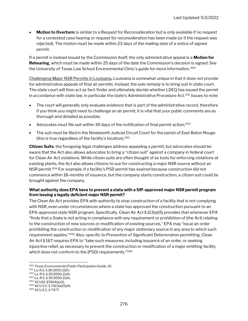**Motion to Overturn:** is similar to a Request for Reconsideration but is only available if no request for a contested case hearing or request for reconsideration has been made (or if the request was rejected). The motion must be made within 23 days of the mailing date of a notice of signed permit.

If a permit is instead issued by the Commission itself, the only administrative appeal is a **Motion for Rehearing,** which must be made within 25 days of the date the Commission's decision is signed. See the University of Texas Law School Environmental Clinic's guide for more information.<sup>1010</sup>

Challenging Major NSR Permits in Louisiana. Louisiana is somewhat unique in that it does not provide for administrative appeals of final air permits. Instead, the sole remedy is to bring suit in state court. The state court will then act as fact-finder and ultimately decide whether LDEQ has issued the permit in accordance with state law, in particular the state's Administrative Procedure Act.<sup>1011</sup> Issues to note:

- The court will generally only evaluate evidence that is part of the administrative record, therefore if you think you might need to challenge an air permit, it is vital that your public comments are as thorough and detailed as possible;
- Advocates must file suit within 30 days of the notification of final permit action;<sup>1012</sup>
- The suit must be filed in the Nineteenth Judicial Circuit Court for the parish of East Baton Rouge (this is true regardless of the facility's location).<sup>1013</sup>

Citizen Suits: the foregoing legal challenges address appealing a permit, but advocates should be aware that the Act also allows advocates to bring a "citizen suit" against a company in federal court for Clean Air Act violations. While citizen suits are often thought of as tools for enforcing violations at existing plants, the Act also allows citizens to sue for constructing a major NSR source without an NSR permit.<sup>1014</sup> For example, if a facility's PSD permit has expired because construction did not commence within 18-months of issuance, but the company starts construction, a citizen suit could be brought against the company.

#### What authority does EPA have to prevent a state with a SIP-approved major NSR permit program from issuing a legally deficient major NSR permit?

The Clean Air Act provides EPA with authority to stop construction of a facility that is not complying with NSR, even under circumstances where a state has approved the construction pursuant to an EPA-approved state NSR program. Specifically, Clean Air Act § 113(a)(5) provides that whenever EPA "finds that a State is not acting in compliance with any requirement or prohibition of [the Act] relating to the construction of new sources or modification of existing sources," EPA may "issue an order prohibiting the construction or modification of any major stationary source in any area to which such requirement applies."<sup>1015</sup> Also, specific to Prevention of Significant Deterioration permitting, Clean Air Act § 167 requires EPA to "take such measures, including issuance of an order, or seeking injunctive relief, as necessary to prevent the construction or modification of a major emitting facility which does not conform to the [PSD] requirements."1016

<sup>1010</sup> Texas Environmental Public Participation Guide, 10.

<sup>1011</sup> La. R.S. § 30:2050.21(F).

<sup>1012</sup> La. R.S. § 30:2050.21(A).

<sup>1013</sup> La. R.S. § 30:2050.21(A).

<sup>1014</sup> 42 USC §7604(a)(3). <sup>1015</sup> 42 U.S.C. § 7413(a)(5)(A).

<sup>1016</sup> 42 U.S.C. § 7477.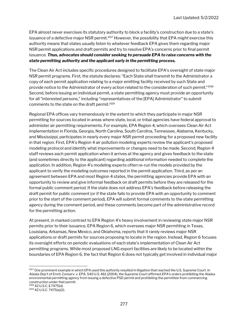EPA almost never exercises its statutory authority to block a facility's construction due to a state's issuance of a defective major NSR permit.<sup>1017</sup> However, the possibility that EPA might exercise this authority means that states usually listen to whatever feedback EPA gives them regarding major NSR permit applications and draft permits and try to resolve EPA's concerns prior to final permit issuance. Thus, advocates should consider seeking to persuade EPA to raise concerns with the state permitting authority and the applicant early in the permitting process.

The Clean Air Act includes specific procedures designed to facilitate EPA's oversight of state major NSR permit programs. First, the statute declares: "Each State shall transmit to the Administrator a copy of each permit application relating to a major emitting facility received by such State and provide notice to the Administrator of every action related to the consideration of such permit." <sup>1018</sup> Second, before issuing an individual permit, a state permitting agency must provide an opportunity for all "interested persons," including "representatives of the [EPA] Administrator" to submit comments to the state on the draft permit.<sup>1019</sup>

Regional EPA offices vary tremendously in the extent to which they participate in major NSR permitting for sources located in areas where state, local, or tribal agencies have federal approval to administer air permitting requirements. For example, EPA Region 4, which oversees Clean Air Act implementation in Florida, Georgia, North Carolina, South Carolina, Tennessee, Alabama, Kentucky, and Mississippi, participates in nearly every major NSR permit proceeding for a proposed new facility in that region. First, EPA's Region 4 air pollution modeling experts review the applicant's proposed modeling protocol and identify what improvements or changes need to be made. Second, Region 4 staff reviews each permit application when it arrives at the agency and gives feedback to the state (and sometimes directly to the applicant) regarding additional information needed to complete the application. In addition, Region 4's modeling experts often re-run the models provided by the applicant to verify the modeling outcomes reported in the permit application. Third, as per an agreement between EPA and most Region 4 states, the permitting agencies provide EPA with an opportunity to review and give informal feedback on draft permits before they are released for the formal public comment period. If the state does not address EPA's feedback before releasing the draft permit for public comment (or if the state fails to provide EPA with an opportunity to comment prior to the start of the comment period), EPA will submit formal comments to the state permitting agency during the comment period, and these comments become part of the administrative record for the permitting action.

At present, in marked contrast to EPA Region 4's heavy involvement in reviewing state major NSR permits prior to their issuance, EPA Region 6, which oversees major NSR permitting in Texas, Louisiana, Arkansas, New Mexico, and Oklahoma, reports that it rarely reviews major NSR applications or draft permits for sources proposing to locate in the region. Instead, Region 6 focuses its oversight efforts on periodic evaluations of each state's implementation of Clean Air Act permitting programs. While most proposed LNG export facilities are likely to be located within the boundaries of EPA Region 6, the fact that Region 6 does not typically get involved in individual major

<sup>1017</sup> One prominent example in which EPA used this authority resulted in litigation that reached the U.S. Supreme Court. In Alaska Dep't of Envtl. Conserv. v. EPA, 540 U.S. 461 (2004), the Supreme Court affirmed EPA's orders prohibiting the Alaska environmental permitting agency from issuing a defective PSD permit and prohibiting the permittee from commencing construction under that permit. <sup>1018</sup> 42 U.S.C. § 7475(d).

<sup>1019</sup> 42 U.S.C. 7475(a)(2).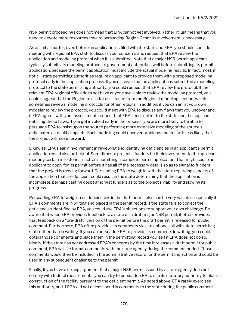NSR permit proceedings does not mean that EPA cannot get involved. Rather, it just means that you need to devote more resources toward persuading Region 6 that its involvement is necessary.

As an initial matter, even before an application is filed with the state and EPA, you should consider meeting with regional EPA staff to discuss your concerns and request that EPA review the application and modeling protocol when it is submitted. Note that a major NSR permit applicant typically submits its modeling protocol to government authorities well before submitting its permit application, because the permit application must include the actual modeling results. In fact, most, if not all, state permitting authorities require an applicant to provide them with a proposed modeling protocol early in the application process. If you discover that an applicant has submitted a modeling protocol to the state permitting authority, you could request that EPA review the protocol. If the relevant EPA regional office does not have anyone available to review the modeling protocol, you could suggest that the Region to ask for assistance from the Region 4 modeling section, which sometimes reviews modeling protocols for other regions. In addition, if you can enlist your own modeler to review the protocol, you could meet with EPA to discuss any flaws that you uncover and, if EPA agrees with your assessment, request that EPA send a letter to the state and the applicant detailing those flaws. If you get involved early in the process, you are more likely to be able to persuade EPA to insist upon the source performing more extensive modeling of the source's anticipated air quality impacts. Such modeling could uncover problems that make it less likely that the project will move forward.

Likewise, EPA's early involvement in reviewing and identifying deficiencies in an applicant's permit application could also be helpful. Sometimes, a project's funders tie their investment to the applicant meeting certain milestones, such as submitting a complete permit application. That might cause an applicant to apply for its permit before it has all of the necessary details so as to signal to funders that the project is moving forward. Persuading EPA to weigh in with the state regarding aspects of the application that are deficient could result in the state determining that the application is incomplete, perhaps casting doubt amongst funders as to the project's viability and slowing its progress.

Persuading EPA to weigh in on deficiencies in the draft permit also can be very valuable, especially if EPA's comments are in writing and placed in the permit record. If the state fails to correct the deficiencies identified by EPA, you could use EPA's objections to support your own challenge. Be aware that when EPA provides feedback to a state on a draft major NSR permit, it often provides that feedback on a "pre-draft" version of the permit before the draft permit is released for public comment. Furthermore, EPA often provides its comments via a telephone call with state permitting staff rather than in writing. If you can persuade EPA to provide its comments in writing, you could obtain those comments and place them in the permitting record yourself if EPA does not do so. Ideally, if the state has not addressed EPA's concerns by the time it releases a draft permit for public comment, EPA will file formal comments with the state agency during the comment period. Those comments would then be included in the administrative record for the permitting action and could be used in any subsequent challenge to the permit.

Finally, if you have a strong argument that a major NSR permit issued by a state agency does not comply with federal requirements, you can try to persuade EPA to use its statutory authority to block construction of the facility pursuant to the deficient permit. As noted above, EPA rarely exercises this authority, and if EPA did not at least send in comments to the state during the public comment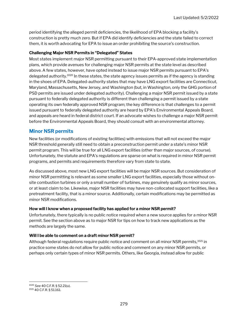period identifying the alleged permit deficiencies, the likelihood of EPA blocking a facility's construction is pretty much zero. But if EPA did identify deficiencies and the state failed to correct them, it is worth advocating for EPA to issue an order prohibiting the source's construction.

#### Challenging Major NSR Permits in "Delegated" States

Most states implement major NSR permitting pursuant to their EPA-approved state implementation plans, which provide avenues for challenging major NSR permits at the state level as described above. A few states, however, have opted instead to issue major NSR permits pursuant to EPA's delegated authority.<sup>1020</sup> In these states, the state agency issues permits as if the agency is standing in the shoes of EPA. Delegated-authority states that may have LNG export facilities are Connecticut, Maryland, Massachusetts, New Jersey, and Washington (but, in Washington, only the GHG portion of PSD permits are issued under delegated authority). Challenging a major NSR permit issued by a state pursuant to federally delegated authority is different than challenging a permit issued by a state operating its own federally approved NSR program; the key difference is that challenges to a permit issued pursuant to federally delegated authority are heard by EPA's Environmental Appeals Board, and appeals are heard in federal district court. If an advocate wishes to challenge a major NSR permit before the Environmental Appeals Board, they should consult with an environmental attorney.

#### Minor NSR permits

New facilities (or modifications of existing facilities) with emissions that will not exceed the major NSR threshold generally still need to obtain a preconstruction permit under a state's minor NSR permit program. This will be true for all LNG export facilities (other than major sources, of course). Unfortunately, the statute and EPA's regulations are sparse on what is required in minor NSR permit programs, and permits and requirements therefore vary from state to state.

As discussed above, most new LNG export facilities will be major NSR sources. But consideration of minor NSR permitting is relevant as some smaller LNG export facilities, especially those without onsite combustion turbines or only a small number of turbines, may genuinely qualify as minor sources, or at least claim to be. Likewise, major NSR facilities may have non-collocated support facilities, like a pretreatment facility, that is a minor source. Additionally, certain modifications may be permitted as minor NSR modifications.

#### How will I know when a proposed facility has applied for a minor NSR permit?

Unfortunately, there typically is no public notice required when a new source applies for a minor NSR permit. See the section above as to major NSR for tips on how to track new applications as the methods are largely the same.

#### Will I be able to comment on a draft minor NSR permit?

Although federal regulations require public notice and comment on all minor NSR permits,<sup>1021</sup> in practice some states do not allow for public notice and comment on any minor NSR permits, or perhaps only certain types of minor NSR permits. Others, like Georgia, instead allow for public

<sup>1020</sup> See 40 C.F.R. § 52.21(u).

<sup>1021</sup> 40 C.F.R. § 51.161.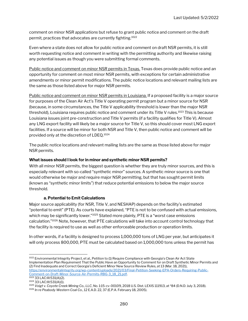comment on minor NSR applications but refuse to grant public notice and comment on the draft permit, practices that advocates are currently fighting.<sup>1022</sup>

Even where a state does not allow for public notice and comment on draft NSR permits, it is still worth requesting notice and comment in writing with the permitting authority and likewise raising any potential issues as though you were submitting formal comments.

Public notice and comment on minor NSR permits in Texas. Texas does provide public notice and an opportunity for comment on most minor NSR permits, with exceptions for certain administrative amendments or minor permit modifications. The public notice locations and relevant mailing lists are the same as those listed above for major NSR permits.

Public notice and comment on minor NSR permits in Louisiana. If a proposed facility is a major source for purposes of the Clean Air Act's Title V operating permit program but a minor source for NSR (because, in some circumstances, the Title V applicability threshold is lower than the major NSR threshold), Louisiana requires public notice and comment under its Title V rules.<sup>1023</sup> This is because Louisiana issues joint pre-construction and Title V permits (if a facility qualifies for Title V). Almost any LNG export facility will likely be a major source for Title V, so this should cover most LNG export facilities. If a source will be minor for both NSR and Title V, then public notice and comment will be provided only at the discretion of LDEQ.<sup>1024</sup>

The public notice locations and relevant mailing lists are the same as those listed above for major NSR permits.

#### What issues should I look for in minor and synthetic minor NSR permits?

With all minor NSR permits, the biggest question is whether they are truly minor sources, and this is especially relevant with so-called "synthetic minor" sources. A synthetic minor source is one that would otherwise be major and require major NSR permitting, but that has sought permit limits (known as "synthetic minor limits") that reduce potential emissions to below the major source threshold.

#### a. Potential to Emit Calculations

Major source applicability (for NSR, Title V, and NESHAP) depends on the facility's estimated "potential to emit" (PTE). As courts have explained, "PTE is not to be confused with actual emissions, which may be significantly lower."1025 Stated more plainly, PTE is a "worst case emissions calculation."<sup>1026</sup> Note, however, that PTE calculations will take into account control technology that the facility is required to use as well as other enforceable production or operation limits.

In other words, if a facility is designed to process 1,000,000 tons of LNG per year, but anticipates it will only process 800,000, PTE must be calculated based on 1,000,000 tons unless the permit has

<sup>1022</sup> Environmental Integrity Project, et al., Petition to (1) Require Compliance with Georgia's Clean Air Act State Implementation Plan Requirement That the Public Have an Opportunity to Comment for on Draft Synthetic Minor Permits and (2) Find Inadequate and Correct Georgia's Deficient Minor New Source Review Rules, at 13 (Mar. 18, 2021), https://environmentalintegrity.org/wp-content/uploads/2021/03/Final-Petition-Seeking-EPA-Orders-Requiring-Public-Comment-on-Draft-Minor-Source-Air-Permits-RBG-3\_18\_21.pdf.

<sup>1023</sup> 33 LAC:III:531(A)(2).

<sup>1024</sup> 33 LAC:III:531(A)(1).

<sup>1025</sup> Voigt v. Coyote Creek Mining Co., LLC, No. 1:15-cv-00109, 2018 U.S. Dist. LEXIS 111913, at \*84 (D.N.D. July 3, 2018).

<sup>1026</sup> In re Peabody Western Coal Co., 12 E.A.D. 22, 37 (E.P.A. February 18, 2005).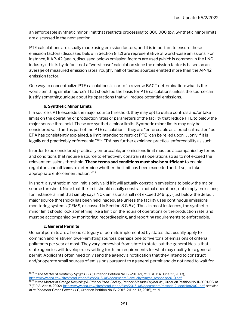an enforceable synthetic minor limit that restricts processing to 800,000 tpy. Synthetic minor limits are discussed in the next section.

PTE calculations are usually made using emission factors, and it is important to ensure those emission factors (discussed below in Section 8.I.2) are representative of worst-case emissions. For instance, if AP-42 (again, discussed below) emission factors are used (which is common in the LNG industry), this is by default not a "worst case" calculation since the emission factor is based on an average of measured emission rates; roughly half of tested sources emitted more than the AP-42 emission factor.

One way to conceptualize PTE calculations is sort of a reverse BACT determination: what is the worst-emitting similar source? That should be the basis for PTE calculations unless the source can justify something unique about its operations that will reduce potential emissions.

#### b. Synthetic Minor Limits

If a source's PTE exceeds the major source threshold, they may opt to utilize controls and/or take limits on the operating or production rates or parameters of the facility that reduce PTE to below the major source threshold. These are synthetic minor limits. Synthetic minor limits may only be considered valid and as part of the PTE calculation if they are "enforceable as a practical matter;" as EPA has consistently explained, a limit intended to restrict PTE "can be relied upon . . . only if it is legally and practicably enforceable."<sup>1027</sup> EPA has further explained practical enforceability as such:

In order to be considered practically enforceable, an emissions limit must be accompanied by terms and conditions that require a source to effectively constrain its operations so as to not exceed the relevant emissions threshold. These terms and conditions must also be sufficient to enable regulators and citizens to determine whether the limit has been exceeded and, if so, to take appropriate enforcement action.<sup>1028</sup>

In short, a synthetic minor limit is only valid if it will actually constrain emissions to below the major source threshold. Note that the limit should usually constrain actual operations, not simply emissions; for instance, a limit that simply says NOx emissions shall not exceed 249 tpy (just below the default major source threshold) has been held inadequate unless the facility uses continuous emissions monitoring systems (CEMS, discussed in Section 8.G.5.a). Thus, in most instances, the synthetic minor limit should look something like a limit on the hours of operations or the production rate, and must be accompanied by monitoring, recordkeeping, and reporting requirements to enforceable.

#### c. General Permits

General permits are a broad category of permits implemented by states that usually apply to common and relatively lower-emitting sources, perhaps one to five tons of emissions of criteria pollutants per year at most. They vary somewhat from state to state, but the general idea is that state agencies will develop rules setting forth the requirements for what may qualify for a general permit. Applicants often need only send the agency a notification that they intend to construct and/or operate small sources of emissions pursuant to a general permit and do not need to wait for

<sup>1027</sup> In the Matter of Kentucky Syngas, LLC, Order on Petition No. IV-2010-9, at 30 (E.P.A. June 22, 2013), https://www.epa.gov/sites/production/files/2015-08/documents/kentuckysyngas\_response2010.pdf.

<sup>&</sup>lt;sup>1028</sup> In the Matter of Orange Recycling & Ethanol Prod. Facility, Pencor-Masada Oxynol, Ilc., Order on Petition No. II-2001-05, at 7 (E.P.A. Apr. 8, 2002), https://www.epa.gov/sites/production/files/2015-08/documents/masada-2\_decision2001.pdf; see also In re Piedmont Green Power, LLC, Order on Petition No. IV-2015-2 (Dec. 13, 2016), at 14.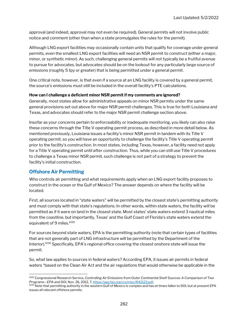approval (and indeed, approval may not even be required). General permits will not involve public notice and comment (other than when a state promulgates the rules for the permit).

Although LNG export facilities may occasionally contain units that qualify for coverage under general permits, even the smallest LNG export facilities will need an NSR permit to construct (either a major, minor, or synthetic minor). As such, challenging general permits will not typically be a fruitful avenue to pursue for advocates, but advocates should be on the lookout for any particularly large source of emissions (roughly 5 tpy or greater) that is being permitted under a general permit.

One critical note, however, is that even if a source at an LNG facility is covered by a general permit, the source's emissions must still be included in the overall facility's PTE calculations.

#### How can I challenge a deficient minor NSR permit if my comments are ignored?

Generally, most states allow for administrative appeals on minor NSR permits under the same general provisions set out above for major NSR permit challenges. This is true for both Louisiana and Texas, and advocates should refer to the major NSR permit challenge section above.

Insofar as your concerns pertain to enforceability or inadequate monitoring, you likely can also raise these concerns through the Title V operating permit process, as described in more detail below. As mentioned previously, Louisiana issues a facility's minor NSR permit in tandem with its Title V operating permit, so you will have an opportunity to challenge the facility's Title V operating permit prior to the facility's construction. In most states, including Texas, however, a facility need not apply for a Title V operating permit until after construction. Thus, while you can still use Title V procedures to challenge a Texas minor NSR permit, such challenge is not part of a strategy to prevent the facility's initial construction.

#### Offshore Air Permitting

Who controls air permitting and what requirements apply when an LNG export facility proposes to construct in the ocean or the Gulf of Mexico? The answer depends on where the facility will be located.

First, all sources located in "state waters" will be permitted by the closest state's permitting authority and must comply with that state's regulations. In other words, within state waters, the facility will be permitted as if it were on land in the closest state. Most states' state waters extend 3 nautical miles from the coastline, but importantly, Texas' and the Gulf Coast of Florida's state waters extend the equivalent of 9 miles.<sup>1029</sup>

For sources beyond state waters, EPA is the permitting authority (note that certain types of facilities that are not generally part of LNG infrastructure will be permitted by the Department of the Interior).<sup>1030</sup> Specifically, EPA's regional office covering the closest onshore state will issue the permit.

So, what law applies to sources in federal waters? According EPA, it issues air permits in federal waters "based on the Clean Air Act and the air regulations that would otherwise be applicable in the

<sup>1029</sup> Congressional Research Service, Controlling Air Emissions from Outer Continental Shelf Sources: A Comparison of Two Programs—EPA and DOI, Nov. 26, 2012, 7, https://sgp.fas.org/crs/misc/R42123.pdf.

<sup>&</sup>lt;sup>1030</sup> Note that permitting authority in the western Gulf of Mexico is complex and has at times fallen to DOI, but at present EPA issues all relevant offshore permits.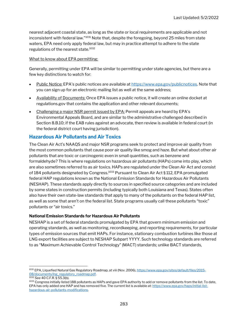nearest adjacent coastal state, as long as the state or local requirements are applicable and not inconsistent with federal law."<sup>1031</sup> Note that, despite the foregoing, beyond 25 miles from state waters, EPA need only apply federal law, but may in practice attempt to adhere to the state regulations of the nearest state.<sup>1032</sup>

#### What to know about EPA permitting:

Generally, permitting under EPA will be similar to permitting under state agencies, but there are a few key distinctions to watch for:

- Public Notice: EPA's public notices are available at https://www.epa.gov/publicnotices. Note that you can sign up for an electronic mailing list as well at the same address;
- Availability of Documents: Once EPA issues a public notice, it will create an online docket at regulations.gov that contains the application and other relevant documents;
- Challenging a major NSR permit issued by EPA: Permit appeals are heard by EPA's Environmental Appeals Board, and are similar to the administrative challenged described in Section 8.B.10; if the EAB rules against an advocate, then review is available in federal court (in the federal district court having jurisdiction).

#### Hazardous Air Pollutants and Air Toxics

The Clean Air Act's NAAQS and major NSR programs seek to protect and improve air quality from the most common pollutants that cause poor air quality like smog and haze. But what about other air pollutants that are toxic or carcinogenic even in small quantities, such as benzene and formaldehyde? This is where regulations on hazardous air pollutants (HAPs) come into play, which are also sometimes referred to as air toxics. HAPs are regulated under the Clean Air Act and consist of 184 pollutants designated by Congress.<sup>1033</sup> Pursuant to Clean Air Act § 112, EPA promulgated federal HAP regulations known as the National Emission Standards for Hazardous Air Pollutants (NESHAP). These standards apply directly to sources in specified source categories and are included by some states in construction permits (including typically both Louisiana and Texas). States often also have their own state-law standards that apply to many of the pollutants on the federal HAP list, as well as some that aren't on the federal list. State programs usually call these pollutants "toxic" pollutants or "air toxics."

#### National Emission Standards for Hazardous Air Pollutants

NESHAP is a set of federal standards promulgated by EPA that govern minimum emission and operating standards, as well as monitoring, recordkeeping, and reporting requirements, for particular types of emission sources that emit HAPs. For instance, stationary combustion turbines like those at LNG export facilities are subject to NESHAP Subpart YYYY. Such technology standards are referred to as "Maximum Achievable Control Technology" (MACT) standards; unlike BACT standards,

<sup>1031</sup> EPA, Liquefied Natural Gas Regulatory Roadmap, at viii (Nov. 2006), https://www.epa.gov/sites/default/files/2015-08/documents/lng\_regulatory\_roadmap.pdf.

<sup>1032</sup> See 40 C.F.R. § 55.3(b).

<sup>&</sup>lt;sup>1033</sup> Congress initially listed 188 pollutants as HAPs and gave EPA authority to add or remove pollutants from the list. To date, EPA has only added one HAP and has removed five. The current list is available at: https://www.epa.gov/haps/initial-listhazardous-air-pollutants-modifications.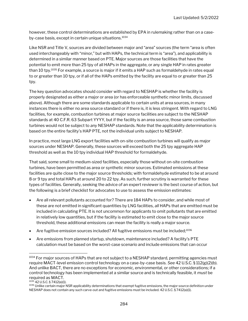however, these control determinations are established by EPA in rulemaking rather than on a caseby-case basis, except in certain unique situations.<sup>1034</sup>

Like NSR and Title V, sources are divided between major and "area" sources (the term "area is often used interchangeably with "minor," but with HAPs, the technical term is "area"), and applicability is determined in a similar manner based on PTE. Major sources are those facilities that have the potential to emit more than 25 tpy of all HAPs in the aggregate, or any single HAP in rates greater than 10 tpy.<sup>1035</sup> For example, a source is major if it emits a HAP such as formaldehyde in rates equal to or greater than 10 tpy, or if all of the HAPs emitted by the facility are equal to or greater than 25 tpy.

The key question advocates should consider with regard to NESHAP is whether the facility is properly designated as either a major or area (or has enforceable synthetic minor limits, discussed above). Although there are some standards applicable to certain units at area sources, in many instances there is either no area source standard or if there is, it is less stringent. With regard to LNG facilities, for example, combustion turbines at major source facilities are subject to the NESHAP standards at 40 C.F.R. 63 Subpart YYYY, but if the facility is an area source, those same combustion turbines would not be subject to any NESHAP standards. Note that the applicability determination is based on the entire facility's HAP PTE, not the individual units subject to NESHAP.

In practice, most large LNG export facilities with on-site combustion turbines will qualify as major sources under NESHAP. Generally, these sources will exceed both the 25 tpy aggregate HAP threshold as well as the 10 tpy individual HAP threshold for formaldehyde.

That said, some small to medium-sized facilities, especially those without on-site combustion turbines, have been permitted as area or synthetic minor sources. Estimated emissions at these facilities are quite close to the major source thresholds; with formaldehyde estimated to be at around 8 or 9 tpy and total HAPs at around 20 to 22 tpy. As such, further scrutiny is warranted for these types of facilities. Generally, seeking the advice of an expert reviewer is the best course of action, but the following is a brief checklist for advocates to use to assess the emission estimates:

- Are all relevant pollutants accounted for? There are 184 HAPs to consider, and while most of these are not emitted in significant quantities by LNG facilities, all HAPs that are emitted must be included in calculating PTE. It is not uncommon for applicants to omit pollutants that are emitted in relatively low quantities, but if the facility is estimated to emit close to the major source threshold, these additional emissions can mean the facility is really a major source.
- Are fugitive emission sources included? All fugitive emissions must be included; $^{1036}$
- Are emissions from planned startup, shutdown, maintenance included? A facility's PTE calculation must be based on the worst-case scenario and include emissions that can occur

<sup>&</sup>lt;sup>1034</sup> For major sources of HAPs that are not subject to a NESHAP standard, permitting agencies must require MACT-level emission control technology on a case-by-case basis. See 42 U.S.C. § 112(g)(2)(b). And unlike BACT, there are no exceptions for economic, environmental, or other considerations; if a control technology has been implemented at a similar source and is technically feasible, it must be required as MACT.

<sup>1035</sup> 42 U.S.C. § 7412(a)(1).

<sup>&</sup>lt;sup>1036</sup> Unlike certain major NSR applicability determinations that exempt fugitive emissions, the major source definition under NESHAP does not contain any such carve-out and fugitive emissions must be included. 42 U.S.C. § 7412(a)(1).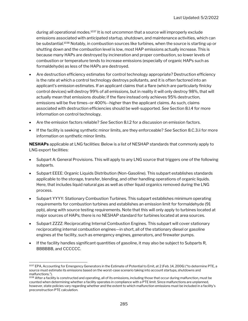during all operational modes.<sup>1037</sup> It is not uncommon that a source will improperly exclude emissions associated with anticipated startup, shutdown, and maintenance activities, which can be substantial.<sup>1038</sup> Notably, in combustion sources like turbines, when the source is starting up or shutting down and the combustion level is low, most HAP emissions actually increase. This is because many HAPs are destroyed by incineration and proper combustion, so lower levels of combustion or temperature tends to increase emissions (especially of organic HAPs such as formaldehyde) as less of the HAPs are destroyed.

- Are destruction efficiency estimates for control technology appropriate? Destruction efficiency is the rate at which a control technology destroys pollutants, and it is often factored into an applicant's emission estimates. If an applicant claims that a flare (which are particularly finicky control devices) will destroy 99% of all emissions, but in reality it will only destroy 98%, that will actually mean that emissions double; if the flare instead only achieves 95% destruction, emissions will be five times–or 400%--higher than the applicant claims. As such, claims associated with destruction efficiencies should be well-supported. See Section 8.I.4 for more information on control technology.
- Are the emission factors reliable? See Section 8.I.2 for a discussion on emission factors.
- If the facility is seeking synthetic minor limits, are they enforceable? See Section 8.C.3.ii for more information on synthetic minor limits.

**NESHAPs** applicable at LNG facilities: Below is a list of NESHAP standards that commonly apply to LNG export facilities:

- Subpart A: General Provisions. This will apply to any LNG source that triggers one of the following subparts.
- Subpart EEEE: Organic Liquids Distribution (Non-Gasoline). This subpart establishes standards applicable to the storage, transfer, blending, and other handling operations of organic liquids. Here, that includes liquid natural gas as well as other liquid organics removed during the LNG process.
- Subpart YYYY: Stationary Combustion Turbines. This subpart establishes minimum operating requirements for combustion turbines and establishes an emission limit for formaldehyde (91 ppb), along with source testing requirements. Note that this will only apply to turbines located at major sources of HAPs; there is no NESHAP standard for turbines located at area sources.
- Subpart ZZZZ: Reciprocating Internal Combustion Engines. This subpart will cover stationary reciprocating internal combustion engines—in short, all of the stationary diesel or gasoline engines at the facility, such as emergency engines, generators, and firewater pumps.
- If the facility handles significant quantities of gasoline, it may also be subject to Subparts R, BBBBBB, and CCCCCC.

<sup>&</sup>lt;sup>1037</sup> EPA, Accounting for Emergency Generators in the Estimate of Potential to Emit, at 2 (Feb. 14, 2006) ("to determine PTE, a source must estimate its emissions based on the worst-case scenario taking into account startups, shutdowns and malfunctions.").

<sup>&</sup>lt;sup>1038</sup> After a facility is constructed and operating, all of its emissions, including those that occur during malfunction, must be counted when determining whether a facility operates in compliance with a PTE limit. Since malfunctions are unplanned, however, state policies vary regarding whether and the extent to which malfunction emissions must be included in a facility's preconstruction PTE calculation.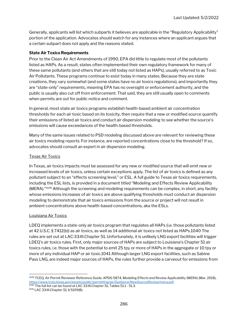Generally, applicants will list which subparts it believes are applicable in the "Regulatory Applicability" portion of the application. Advocates should watch for any instances where an applicant argues that a certain subpart does not apply and the reasons stated.

#### State Air Toxics Requirements

Prior to the Clean Air Act Amendments of 1990, EPA did little to regulate most of the pollutants listed as HAPs. As a result, states often implemented their own regulatory framework for many of these same pollutants (and others that are still today not listed as HAPs), usually referred to as Toxic Air Pollutants. These programs continue to exist today in many states. Because they are state creations, they vary somewhat (and some states have no air toxics regulations), and importantly they are "state-only" requirements, meaning EPA has no oversight or enforcement authority, and the public is usually also cut off from enforcement. That said, they are still usually open to comments when permits are out for public notice and comment.

In general, most state air toxics programs establish health-based ambient air concentration thresholds for each air toxic based on its toxicity, then require that a new or modified source quantify their emissions of listed air toxics and conduct air dispersion modeling to see whether the source's emissions will cause exceedances of the health-based thresholds.

Many of the same issues related to PSD modeling discussed above are relevant for reviewing these air toxics modeling reports. For instance, are reported concentrations close to the threshold? If so, advocates should consult an expert in air dispersion modeling.

#### Texas Air Toxics

In Texas, air toxics impacts must be assessed for any new or modified source that will emit new or increased levels of air toxics, unless certain exceptions apply. The list of air toxics is defined as any pollutant subject to an "effects screening level," or ESL. A full guide to Texas air toxics requirements, including the ESL lists, is provided in a document titled "Modeling and Effects Review Applicability  $(MERA)$ ."<sup>1039</sup> Although the screening and modeling requirements can be complex, in short, any facility whose emissions increases of air toxics are above qualifying thresholds must conduct air dispersion modeling to demonstrate that air toxics emissions from the source or project will not result in ambient concentrations above health-based concentrations, aka the ESLs.

#### Louisiana Air Toxics

LDEQ implements a state-only air toxics program that regulates all HAPs (i.e. those pollutants listed at 42 U.S.C. § 7412(b)) as air toxics, as well as 14 additional air toxics not listed as HAPs.1040 The rules are set out at LAC:33:III.Chapter 51. Unfortunately, it is unlikely LNG export facilities will trigger LDEQ's air toxics rules. First, only major sources of HAPs are subject to Louisiana's Chapter 51 air toxics rules, i.e. those with the potential to emit 25 tpy or more of HAPs in the aggregate or 10 tpy or more of any individual HAP or air toxic.1041 Although larger LNG export facilities, such as Sabine Pass LNG, are indeed major sources of HAPs, the rules further provide a carveout for emissions from

<sup>1039</sup> TCEQ, Air Permit Reviewer Reference Guide, APDG 5874, Modeling Effects and Review Applicability (MERA) (Mar. 2018), https://www.tceq.texas.gov/assets/public/permitting/air/Guidance/NewSourceReview/mera.pdf. 1040 The full list can be found at LAC 33:III. Chapter 51, Tables 51.1 - 51.3.

<sup>1041</sup> LAC 33:III.Chapter 51, § 5109(B).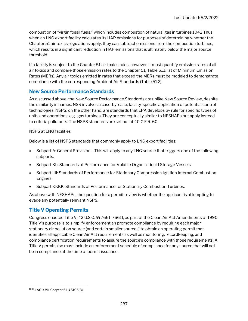combustion of "virgin fossil fuels," which includes combustion of natural gas in turbines.1042 Thus, when an LNG export facility calculates its HAP emissions for purposes of determining whether the Chapter 51 air toxics regulations apply, they can subtract emissions from the combustion turbines, which results in a significant reduction in HAP emissions that is ultimately below the major source threshold.

If a facility is subject to the Chapter 51 air toxics rules, however, it must quantify emission rates of all air toxics and compare those emission rates to the Chapter 51, Table 51.1 list of Minimum Emission Rates (MERs). Any air toxics emitted in rates that exceed the MERs must be modeled to demonstrate compliance with the corresponding Ambient Air Standards (Table 51.2).

#### New Source Performance Standards

As discussed above, the New Source Performance Standards are unlike New Source Review, despite the similarity in names. NSR involves a case-by-case, facility-specific application of potential control technologies. NSPS, on the other hand, are standards that EPA develops by rule for specific types of units and operations, e.g., gas turbines. They are conceptually similar to NESHAPs but apply instead to criteria pollutants. The NSPS standards are set out at 40 C.F.R. 60.

#### NSPS at LNG facilities

Below is a list of NSPS standards that commonly apply to LNG export facilities:

- Subpart A: General Provisions. This will apply to any LNG source that triggers one of the following subparts.
- Subpart Kb: Standards of Performance for Volatile Organic Liquid Storage Vessels.
- Subpart IIII: Standards of Performance for Stationary Compression Ignition Internal Combustion Engines.
- Subpart KKKK: Standards of Performance for Stationary Combustion Turbines.

As above with NESHAPs, the question for a permit review is whether the applicant is attempting to evade any potentially relevant NSPS.

#### Title V Operating Permits

Congress enacted Title V, 42 U.S.C. §§ 7661-7661f, as part of the Clean Air Act Amendments of 1990. Title V's purpose is to simplify enforcement an promote compliance by requiring each major stationary air pollution source (and certain smaller sources) to obtain an operating permit that identifies all applicable Clean Air Act requirements as well as monitoring, recordkeeping, and compliance certification requirements to assure the source's compliance with those requirements. A Title V permit also must include an enforcement schedule of compliance for any source that will not be in compliance at the time of permit issuance.

<sup>1042</sup> LAC 33:III.Chapter 51, § 5105(B).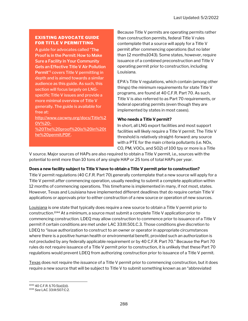#### EXISTING ADVOCATE GUIDE FOR TITLE V PERMITTING

A guide for advocates called "The Proof is in the Permit: How to Make Sure a Facility in Your Community Gets an Effective Title V Air Pollution Permit"<sup>1</sup> covers Title V permitting in depth and is aimed towards a similar audience as this guide. As such, this section will focus largely on LNGspecific Title V issues and provide a more minimal overview of Title V generally. The guide is available for free at:

http://www.cacwny.org/docs/Title%2 0V%20- %20The%20proof%20is%20in%20t he%20permit.PDF.

Because Title V permits are operating permits rather than construction permits, federal Title V rules contemplate that a source will apply for a Title V permit after commencing operations (but no later than 12 months1043). Some states, however, require issuance of a combined preconstruction and Title V operating permit prior to construction, including Louisiana.

EPA's Title V regulations, which contain (among other things) the minimum requirements for state Title V programs, are found at 40 C.F.R. Part 70. As such, Title V is also referred to as Part 70 requirements, or federal operating permits (even though they are implemented by states in most cases).

#### Who needs a Title V permit?

In short, all LNG export facilities and most support facilities will likely require a Title V permit. The Title V threshold is relatively straight-forward: any source with a PTE for the main criteria pollutants (i.e. NOx, CO, PM, VOCs, and SO2) of 100 tpy or more is a Title

V source. Major sources of HAPs are also required to obtain a Title V permit, i.e., sources with the potential to emit more than 10 tons of any single HAP or 25 tons of total HAPs per year.

#### Does a new facility subject to Title V have to obtain a Title V permit prior to construction?

Title V permit regulations (40 C.F.R. Part 70) generally contemplate that a new source will apply for a Title V permit after commencing operation, usually needing to submit a complete application within 12 months of commencing operations. This timeframe is implemented in many, if not most, states. However, Texas and Louisiana have implemented different deadlines that do require certain Title V applications or approvals prior to either construction of a new source or operation of new sources.

Louisiana is one state that typically does require a new source to obtain a Title V permit prior to construction.<sup>1044</sup> At a minimum, a source must submit a complete Title V application prior to commencing construction. LDEQ may allow construction to commence prior to issuance of a Title V permit if certain conditions are met under LAC 33:III.501.C.3. Those conditions give discretion to LDEQ to "issue authorization to construct to an owner or operator in appropriate circumstances where there is a positive human health or environmental benefit, provided such an authorization is not precluded by any federally applicable requirement or by 40 C.F.R. Part 70." Because the Part 70 rules do not require issuance of a Title V permit prior to construction, it is unlikely that these Part 70 regulations would prevent LDEQ from authorizing construction prior to issuance of a Title V permit.

Texas does not require the issuance of a Title V permit prior to commencing construction, but it does require a new source that will be subject to Title V to submit something known as an "abbreviated

<sup>1043</sup> 40 C.F.R. § 70.5(a)(1)(i).

<sup>1044</sup> See LAC 33:III:507:C:2.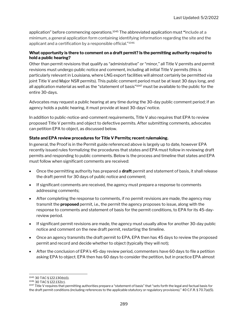application" before commencing operations.<sup>1045</sup> The abbreviated application must "include at a minimum, a general application form containing identifying information regarding the site and the applicant and a certification by a responsible official."<sup>1046</sup>

#### What opportunity is there to comment on a draft permit? Is the permitting authority required to hold a public hearing?

Other than permit revisions that qualify as "administrative" or "minor," all Title V permits and permit revisions must undergo public notice and comment, including all initial Title V permits (this is particularly relevant in Louisiana, where LNG export facilities will almost certainly be permitted via joint Title V and Major NSR permits). This public comment period must be at least 30 days long, and all application material as well as the "statement of basis"<sup>1047</sup> must be available to the public for the entire 30-days.

Advocates may request a public hearing at any time during the 30-day public comment period; if an agency holds a public hearing, it must provide at least 30-days' notice.

In addition to public-notice-and-comment requirements, Title V also requires that EPA to review proposed Title V permits and object to defective permits. After submitting comments, advocates can petition EPA to object, as discussed below.

#### State and EPA review procedures for Title V Permits; recent rulemaking.

In general, the Proof is in the Permit guide referenced above is largely up to date, however EPA recently issued rules formalizing the procedures that states and EPA must follow in reviewing draft permits and responding to public comments. Below is the process and timeline that states and EPA must follow when significant comments are received:

- Once the permitting authority has prepared a **draft** permit and statement of basis, it shall release the draft permit for 30 days of public notice and comment;
- If significant comments are received, the agency must prepare a response to comments addressing comments;
- After completing the response to comments, if no permit revisions are made, the agency may transmit the **proposed** permit, i.e., the permit the agency proposes to issue, along with the response to comments and statement of basis for the permit conditions, to EPA for its 45-dayreview period.
- If significant permit revisions are made, the agency must usually allow for another 30-day public notice and comment on the new draft permit, restarting the timeline.
- Once an agency transmits the draft permit to EPA, EPA then has 45 days to review the proposed permit and record and decide whether to object (typically they will not);
- After the conclusion of EPA's 45-day review period, commenters have 60 days to file a petition asking EPA to object. EPA then has 60 days to consider the petition, but in practice EPA almost

<sup>1045</sup> 30 TAC § 122.130(b)(1).

<sup>1046</sup> 30 TAC § 122.132(c).

<sup>&</sup>lt;sup>1047</sup> Title V requires that permitting authorities prepare a "statement of basis" that "sets forth the legal and factual basis for the draft permit conditions (including references to the applicable statutory or regulatory provisions)." 40 C.F.R. § 70.7(a)(5).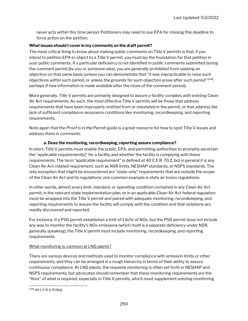never acts within this time period. Petitioners may need to sue EPA for missing this deadline to force action on the petition.

#### What issues should I cover in my comments on the draft permit?

The most critical thing to know about making public comments on Title V permits is that, if you intend to petition EPA to object to a Title V permit, you must lay the foundation for that petition in your public comments. If a particular deficiency is not identified in public comments submitted during the comment period (by you or someone else), you are generally prohibited from seeking an objection on that same basis (unless you can demonstrate that "it was impracticable to raise such objections within such period, or unless the grounds for such objection arose after such period" $^{\rm 1048},$ perhaps if new information is made available after the close of the comment period).

More generally, Title V permits are primarily designed to assure a facility complies with existing Clean Air Act requirements. As such, the most effective Title V permits will be those that address requirements that have been improperly omitted from or misstated in the permit, or that address the lack of sufficient compliance-assurance conditions like monitoring, recordkeeping, and reporting requirements.

Note again that the Proof is in the Permit guide is a great resource for how to spot Title V issues and address them in comments.

#### a. Does the monitoring, recordkeeping, reporting assure compliance?

In short, Title V permits must enable the public, EPA, and permitting authorities to promptly ascertain the "applicable requirement[s]" for a facility and whether the facility is complying with these requirements. The term "applicable requirement" is defined at 40 C.F.R. 70.2, but in general it is any Clean Air Act-related requirement, such as NSR limits, NESHAP standards, or NSPS standards. The only exception that might be encountered are "state-only" requirements that are outside the scope of the Clean Air Act and its regulations; one common example is state air toxics regulations.

In other words, almost every limit, standard, or operating condition contained in any Clean Air Act permit, in the relevant state implementation plan, or in an applicable Clean Air Act federal regulation must be wrapped into the Title V permit and paired with adequate monitoring, recordkeeping, and reporting requirements to assure the facility will comply with the condition and that violations are readily discovered and reported.

For instance, if a PSD permit establishes a limit of 1 lb/hr of NOx, but the PSD permit does not include any way to monitor the facility's NOx emissions (which itself is a separate deficiency under NSR, generally speaking), the Title V permit must include monitoring, recordkeeping, and reporting requirements.

#### What monitoring is common at LNG plants?

There are various devices and methods used to monitor compliance with emission limits or other requirements, and they can be arranged in a rough hierarchy in terms of their ability to assure continuous compliance. At LNG plants, the requisite monitoring is often set forth in NESHAP and NSPS requirements, but advocates should remember that these monitoring requirements are the "floor" of what is required, especially in Title V permits, which must supplement existing monitoring

<sup>1048</sup> 40 C.F.R. § 70.8(d).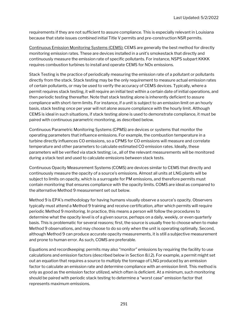requirements if they are not sufficient to assure compliance. This is especially relevant in Louisiana because that state issues combined initial Title V permits and pre-construction NSR permits.

Continuous Emission Monitoring Systems (CEMS): CEMS are generally the best method for directly monitoring emission rates. These are devices installed in a unit's smokestack that directly and continuously measure the emission rate of specific pollutants. For instance, NSPS subpart KKKK requires combustion turbines to install and operate CEMS for NOx emissions.

Stack Testing is the practice of periodically measuring the emission rate of a pollutant or pollutants directly from the stack. Stack testing may be the only requirement to measure actual emission rates of certain pollutants, or may be used to verify the accuracy of CEMS devices. Typically, where a permit requires stack testing, it will require an initial test within a certain date of initial operations, and then periodic testing thereafter. Note that stack testing alone is inherently deficient to assure compliance with short-term limits. For instance, if a unit is subject to an emission limit on an hourly basis, stack testing once per year will not alone assure compliance with the hourly limit. Although CEMS is ideal in such situations, if stack testing alone is used to demonstrate compliance, it must be paired with continuous parametric monitoring, as described below.

Continuous Parametric Monitoring Systems (CPMS) are devices or systems that monitor the operating parameters that influence emissions. For example, the combustion temperature in a turbine directly influences CO emissions, so a CPMS for CO emissions will measure and correlate temperature and other parameters to calculate estimated CO emission rates. Ideally, these parameters will be verified via stack testing; i.e., all of the relevant measurements will be monitored during a stack test and used to calculate emissions between stack tests.

Continuous Opacity Measurement Systems (COMS) are devices similar to CEMS that directly and continuously measure the opacity of a source's emissions. Almost all units at LNG plants will be subject to limits on opacity, which is a surrogate for PM emissions, and therefore permits must contain monitoring that ensures compliance with the opacity limits. COMS are ideal as compared to the alternative Method 9 measurement set out below.

Method 9 is EPA's methodology for having humans visually observe a source's opacity. Observers typically must attend a Method 9 training and receive certification, after which permits will require periodic Method 9 monitoring. In practice, this means a person will follow the procedures to determine what the opacity level is of a given source, perhaps on a daily, weekly, or even quarterly basis. This is problematic for several reasons; first, the source is usually free to choose when to make Method 9 observations, and may choose to do so only when the unit is operating optimally. Second, although Method 9 can produce accurate opacity measurements, it is still a subjective measurement and prone to human error. As such, COMS are preferable.

Equations and recordkeeping: permits may also "monitor" emissions by requiring the facility to use calculations and emission factors (described below in Section 8.I.2). For example, a permit might set out an equation that requires a source to multiply the tonnage of LNG produced by an emission factor to calculate an emission rate and determine compliance with an emission limit. This method is only as good as the emission factor utilized, which often is deficient. At a minimum, such monitoring should be paired with periodic stack testing to determine a "worst case" emission factor that represents maximum emissions.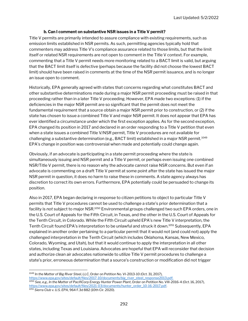#### b. Can I comment on substantive NSR issues in a Title V permit?

Title V permits are primarily intended to assure compliance with existing requirements, such as emission limits established in NSR permits. As such, permitting agencies typically hold that commenters may address Title V's compliance assurance related to those limits, but that the limit itself or related NSR requirements are not open to comment in the Title V context. For example, commenting that a Title V permit needs more monitoring related to a BACT limit is valid, but arguing that the BACT limit itself is defective (perhaps because the facility did not choose the lowest BACT limit) should have been raised in comments at the time of the NSR permit issuance, and is no longer an issue open to comment.

Historically, EPA generally agreed with states that concerns regarding what constitutes BACT and other substantive determinations made during a major NSR permit proceeding must be raised in that proceeding rather than in a later Title V proceeding. However, EPA made two exceptions: (1) if the deficiencies in the major NSR permit are so significant that the permit does not meet the fundamental requirement that a source obtain a major NSR permit prior to construction, or (2) if the state has chosen to issue a combined Title V and major NSR permit. It does not appear that EPA has ever identified a circumstance under which the first exception applies. As for the second exception, EPA changed its position in 2017 and declared in an order responding to a Title V petition that even when a state issues a combined Title V/NSR permit, Title V procedures are not available for challenging a substantive determination (e.g., BACT limit) established in a major NSR permit.<sup>1049</sup> EPA's change in position was controversial when made and potentially could change again.

Obviously, if an advocate is participating in a state permit proceeding where the state is simultaneously issuing and NSR permit and a Title V permit, or perhaps even issuing one combined NSR/Title V permit, there is no reason why the advocate cannot raise NSR concerns. But even if an advocate is commenting on a draft Title V permit at some point after the state has issued the major NSR permit in question, it does no harm to raise these in comments. A state agency always has discretion to correct its own errors. Furthermore, EPA potentially could be persuaded to change its position.

Also in 2017, EPA began declaring in response to citizen petitions to object to particular Title V permits that Title V procedures cannot be used to challenge a state's prior determination that a facility is not subject to major NSR.<sup>1050</sup> Environmental groups challenged two such EPA orders, one in the U.S. Court of Appeals for the Fifth Circuit, in Texas, and the other in the U.S. Court of Appeals for the Tenth Circuit, in Colorado. While the Fifth Circuit upheld EPA's new Title V interpretation, the Tenth Circuit found EPA's interpretation to be unlawful and struck it down.<sup>1051</sup> Subsequently, EPA explained in another order pertaining to a particular permit that it would not (and could not) apply the challenged interpretation in the Tenth Circuit (which includes Oklahoma, Kansas, New Mexico, Colorado, Wyoming, and Utah), but that it would continue to apply the interpretation in all other states, including Texas and Louisiana. Advocates are hopeful that EPA will reconsider that decision and authorize clean air advocates nationwide to utilize Title V permit procedures to challenge a state's prior, erroneous determination that a source's construction or modification did not trigger

<sup>1049</sup> In the Matter of Big River Steel, LLC, Order on Petition No. VI-2013-10 (Oct. 31, 2017), https://www.epa.gov/sites/default/files/2017-10/documents/big\_river\_steel\_response2013.pdf. <sup>1050</sup> See, e.g., In the Matter of PacifiCorp Energy Hunter Power Plant, Order on Petition No. VIII-2016-4 (Oct. 16, 2017), https://www.epa.gov/sites/default/files/2021-03/documents/hunter\_order\_10-16-2017.pdf. 1051 Sierra Club v. U.S. EPA, 964 F.3d 882 (10th Cir. 2020).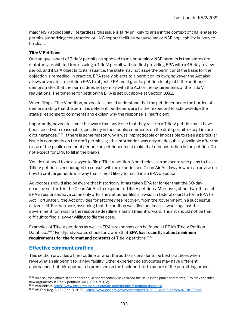major NSR applicability. Regardless, this issue is fairly unlikely to arise in the context of challenges to permits authorizing construction of LNG export facilities because major NSR applicability is likely to be clear.

#### Title V Petitions

One unique aspect of Title V permits as opposed to major or minor NSR permits is that states are statutorily prohibited from issuing a Title V permit without first providing EPA with a 45-day review period, and if EPA objects to its issuance, the state may not issue the permit until the basis for the objection is remedied. In practice, EPA rarely objects to a permit on its own, however the Act also allows advocates to petition EPA to object. EPA must grant a petition to object if the petitioner demonstrates that the permit does not comply with the Act or the requirements of the Title V regulations. The timeline for petitioning EPA is set out above at Section 8.G.2.

When filing a Title V petition, advocates should understand that the petitioner bears the burden of demonstrating that the permit is deficient; petitioners are further expected to acknowledge the state's response to comments and explain why the response is insufficient.

Importantly, advocates must be aware that any issue that they raise in a Title V petition must have been raised with reasonable specificity in their public comments on the draft permit, except in rare circumstances.<sup>1052</sup> If there is some reason why it was impracticable or impossible to raise a particular issue in comments on the draft permit, e.g., the information was only made publicly available after the close of the public comment period, the petitioner must make that demonstration in the petition. Do not expect for EPA to fill in the blanks.

You do not need to be a lawyer to file a Title V petition. Nonetheless, an advocate who plans to file a Title V petition is encouraged to consult with an experienced Clean Air Act lawyer who can advise on how to craft arguments in a way that is most likely to result in an EPA objection.

Advocates should also be aware that historically, it has taken EPA far longer than the 60-day deadline set forth in the Clean Air Act to respond to Title V petitions. Moreover, about two-thirds of EPA's responses have come only after the petitioner files a lawsuit in federal court to force EPA to Act. Fortunately, the Act provides for attorney fee recovery from the government in a successful citizen suit. Furthermore, assuming that the petition was filed on time, a lawsuit against the government for missing the response deadline is fairly straightforward. Thus, it should not be that difficult to find a lawyer willing to file the case.

Examples of Title V petitions as well as EPA's responses can be found at EPA's Title V Petition Database.<sup>1053</sup> Finally, advocates should be aware that **EPA has recently set out minimum** requirements for the format and contents of Title V petitions.<sup>1054</sup>

#### Effective comment drafting

This section provides a brief outline of what the authors consider to be best practices when reviewing an air permit for a new facility. Other experienced advocates may have different approaches, but this approach is premised on the back-and-forth nature of the permitting process,

<sup>1052</sup> As discussed above, if petitioners could not reasonably have raised the issue in the public comments, EPA may consider new arguments in Title V petitions. 40 C.F.R. § 70.8(d).

<sup>1053</sup> Available at: https://www.epa.gov/title-v-operating-permits/title-v-petition-database.

<sup>1054</sup> 85 Fed. Reg. 6,431 (Feb. 5, 2020), https://www.govinfo.gov/content/pkg/FR-2020-02-05/pdf/2020-01099.pdf.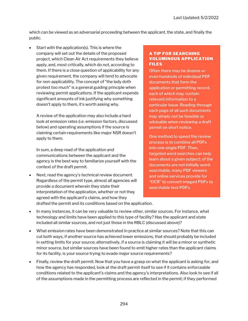which can be viewed as an adversarial proceeding between the applicant, the state, and finally the public.

 Start with the application(s). This is where the company will set out the details of the proposed project, which Clean Air Act requirements they believe apply, and, most critically, which do not, according to them. If there is a close question of applicability for any given requirement, the company will tend to advocate for non-applicability. The concept of "the lady doth protest too much" is a general guiding principle when reviewing permit applications. If the applicant expends significant amounts of ink justifying why something doesn't apply to them, it's worth asking why.

A review of the application may also include a hard look at emission rates (i.e. emission factors, discussed below) and operating assumptions if the source is claiming certain requirements like major NSR doesn't apply to them.

In sum, a deep read of the application and communications between the applicant and the agency is the best way to familiarize yourself with the context of the draft permit.

 Next, read the agency's technical review document. Regardless of the permit type, almost all agencies will provide a document wherein they state their interpretation of the application, whether or not they agreed with the applicant's claims, and how they drafted the permit and its conditions based on the application.

#### A TIP FOR SEARCHING VOLUMINOUS APPLICATION FILES

Often there may be dozens or even hundreds of individual PDF documents that form the application or permitting record, each of which may contain relevant information to a particular issue. Reading through each page of all such documents may simply not be feasible or advisable when reviewing a draft permit on short notice.

One method to speed the review process is to combine all PDFs into one single PDF. Then, targeted word searches can help learn about a given subject; of the documents are not initially wordsearchable, many PDF viewers and online services provide for "OCR" to convert imaged PDFs to searchable text PDFs.

- 
- In many instances, it can be very valuable to review other, similar sources. For instance, what technology and limits have been applied to this type of facility? Has the applicant and state included all similar sources, and not just those in the RBLC (discussed above)?
- What emission rates have been demonstrated in practice at similar sources? Note that this can cut both ways, if another source has achieved lower emissions, that should probably be included in setting limits for your source; alternatively, if a source is claiming it will be a minor or synthetic minor source, but similar sources have been found to emit higher rates than the applicant claims for its facility, is your source trying to evade major source requirements?
- Finally, review the draft permit. Now that you have a grasp on what the applicant is asking for, and how the agency has responded, look at the draft permit itself to see if it contains enforceable conditions related to the applicant's claims and the agency's interpretations. Also look to see if all of the assumptions made in the permitting process are reflected in the permit; if they performed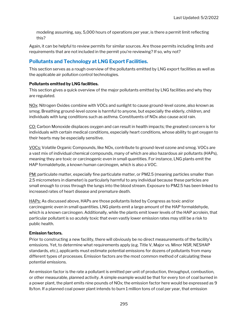modeling assuming, say, 5,000 hours of operations per year, is there a permit limit reflecting this?

Again, it can be helpful to review permits for similar sources. Are those permits including limits and requirements that are not included in the permit you're reviewing? If so, why not?

#### Pollutants and Technology at LNG Export Facilities.

This section serves as a rough overview of the pollutants emitted by LNG export facilities as well as the applicable air pollution control technologies.

#### Pollutants emitted by LNG facilities.

This section gives a quick overview of the major pollutants emitted by LNG facilities and why they are regulated.

NO<sub>X</sub>: Nitrogen Oxides combine with VOCs and sunlight to cause ground-level ozone, also known as smog. Breathing ground-level ozone is harmful to anyone, but especially the elderly, children, and individuals with lung conditions such as asthma. Constituents of NOx also cause acid rain.

CO: Carbon Monoxide displaces oxygen and can result in health impacts; the greatest concern is for individuals with certain medical conditions, especially heart conditions, whose ability to get oxygen to their hearts may be especially sensitive.

VOCs: Volatile Organic Compounds, like NOx, contribute to ground-level ozone and smog. VOCs are a vast mix of individual chemical compounds, many of which are also hazardous air pollutants (HAPs), meaning they are toxic or carcinogenic even in small quantities. For instance, LNG plants emit the HAP formaldehyde, a known human carcinogen, which is also a VOC.

PM: particulate matter, especially fine particulate matter, or PM2.5 (meaning particles smaller than 2.5 micrometers in diameter) is particularly harmful to any individual because these particles are small enough to cross through the lungs into the blood stream. Exposure to PM2.5 has been linked to increased rates of heart disease and premature death.

HAPs: As discussed above, HAPs are those pollutants listed by Congress as toxic and/or carcinogenic even in small quantities. LNG plants emit a large amount of the HAP formaldehyde, which is a known carcinogen. Additionally, while the plants emit lower levels of the HAP acrolein, that particular pollutant is so acutely toxic that even vastly lower emission rates may still be a risk to public health.

#### Emission factors.

Prior to constructing a new facility, there will obviously be no direct measurements of the facility's emissions. Yet, to determine what requirements apply (e.g. Title V, Major vs. Minor NSR, NESHAP standards, etc.), applicants must estimate potential emissions for dozens of pollutants from many different types of processes. Emission factors are the most common method of calculating these potential emissions.

An emission factor is the rate a pollutant is emitted per unit of production, throughput, combustion, or other measurable, planned activity. A simple example would be that for every ton of coal burned in a power plant, the plant emits nine pounds of NOx; the emission factor here would be expressed as 9 lb/ton. If a planned coal power plant intends to burn 1 million tons of coal per year, that emission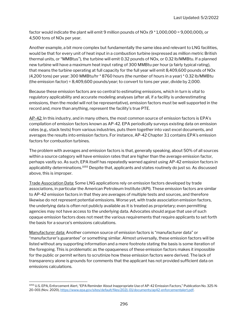factor would indicate the plant will emit 9 million pounds of NOx (9 \* 1,000,000 = 9,000,000), or 4,500 tons of NOx per year.

Another example, a bit more complex but fundamentally the same idea and relevant to LNG facilities, would be that for every unit of heat input in a combustion turbine (expressed as million metric British thermal units, or "MMBtus"), the turbine will emit 0.32 pounds of NOx, or 0.32 lb/MMBtu. If a planned new turbine will have a maximum heat input rating of 300 MMBtu per hour (a fairly typical rating), that means the turbine operating at full capacity for the full year will emit 8,409,600 pounds of NOx (4,200 tons) per year: 300 MMBtu/hr \* 8760 hours (the number of hours in a year) \* 0.32 lb/MMBtu (the emission factor) = 8,409,600 pounds/year; to convert to tons per year, divide by 2,000.

Because these emission factors are so central to estimating emissions, which in turn is vital to regulatory applicability and accurate modeling analyses (after all, if a facility is underestimating emissions, then the model will not be representative), emission factors must be well supported in the record and, more than anything, represent the facility's true PTE.

AP-42: In this industry, and in many others, the most common source of emission factors is EPA's compilation of emission factors known as AP-42. EPA periodically surveys existing data on emission rates (e.g., stack tests) from various industries, puts them together into vast excel documents, and averages the results into emission factors. For instance, AP-42 Chapter 3.1 contains EPA's emission factors for combustion turbines.

The problem with averages and emission factors is that, generally speaking, about 50% of all sources within a source category will have emission rates that are higher than the average emission factor, perhaps vastly so. As such, EPA itself has repeatedly warned against using AP-42 emission factors in applicability determinations.<sup>1055</sup> Despite that, applicants and states routinely do just so. As discussed above, this is improper.

Trade Association Data: Some LNG applications rely on emission factors developed by trade associations, in particular the American Petroleum Institute (API). These emission factors are similar to AP-42 emission factors in that they are averages of multiple tests and sources, and therefore likewise do not represent potential emissions. Worse yet, with trade association emission factors, the underlying data is often not publicly available as it is treated as proprietary; even permitting agencies may not have access to the underlying data. Advocates should argue that use of such opaque emission factors does not meet the various requirements that require applicants to set forth the basis for a source's emissions calculations.

Manufacturer data: Another common source of emission factors is "manufacturer data" or "manufacturer's guarantee" or something similar. Almost universally, these emission factors will be listed without any supporting information and a mere footnote stating the basis is some iteration of the foregoing. This is problematic as the opaqueness of these emission factors makes it impossible for the public or permit writers to scrutinize how these emission factors were derived. The lack of transparency alone is grounds for comments that the applicant has not provided sufficient data on emissions calculations.

<sup>1055</sup> U.S. EPA, Enforcement Alert, "EPA Reminder About Inappropriate Use of AP-42 Emission Factors," Publication No. 325-N-20-001 (Nov. 2020), https://www.epa.gov/sites/default/files/2021-01/documents/ap42-enforcementalert.pdf.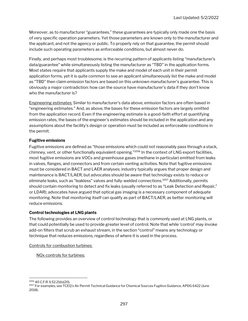Moreover, as to manufacturer "guarantees," these guarantees are typically only made one the basis of very specific operation parameters. Yet those parameters are known only to the manufacturer and the applicant, and not the agency or public. To properly rely on that guarantee, the permit should include such operating parameters as enforceable conditions, but almost never do.

Finally, and perhaps most troublesome, is the recurring pattern of applicants listing "manufacturer's data/guarantee" while simultaneously listing the manufacturer as "TBD" in the application forms. Most states require that applicants supply the make and model of each unit in their permit application forms, yet it is quite common to see an applicant simultaneously list the make and model as "TBD" then claim emission factors are based on this unknown manufacturer's guarantee. This is obviously a major contradiction: how can the source have manufacturer's data if they don't know who the manufacturer is?

Engineering estimates: Similar to manufacturer's data above, emission factors are often based in "engineering estimates." And, as above, the bases for these emission factors are largely omitted from the application record. Even if the engineering estimate is a good-faith effort at quantifying emission rates, the bases of the engineer's estimates should be included in the application and any assumptions about the facility's design or operation must be included as enforceable conditions in the permit.

#### Fugitive emissions

Fugitive emissions are defined as "those emissions which could not reasonably pass through a stack, chimney, vent, or other functionally equivalent opening."<sup>1056</sup> In the context of LNG export facilities, most fugitive emissions are VOCs and greenhouse gases (methane in particular) emitted from leaks in valves, flanges, and connectors and from certain venting activities. Note that fugitive emissions must be considered in BACT and LAER analyses; industry typically argues that proper design and maintenance is BACT/LAER, but advocates should be aware that technology exists to reduce or eliminate leaks, such as "leakless" valves and fully-welded connections.<sup>1057</sup> Additionally, permits should contain monitoring to detect and fix leaks (usually referred to as "Leak Detection and Repair," or LDAR); advocates have argued that optical gas imaging is a necessary component of adequate monitoring. Note that monitoring itself can qualify as part of BACT/LAER, as better monitoring will reduce emissions.

#### Control technologies at LNG plants

The following provides an overview of control technology that is commonly used at LNG plants, or that could potentially be used to provide greater level of control. Note that while 'control' may invoke add-on filters that scrub an exhaust stream, in the section "control" means any technology or technique that reduces emissions, regardless of where it is used in the process.

Controls for combustion turbines:

NOx controls for turbines:

<sup>1056</sup> 40 C.F.R. § 52.21(b)(20).

1057 For examples, see TCEQ's Air Permit Technical Guidance for Chemical Sources Fugitive Guidance, APDG 6422 (June 2018).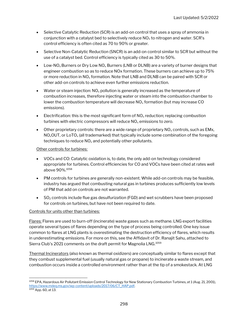- Selective Catalytic Reduction (SCR) is an add-on control that uses a spray of ammonia in conjunction with a catalyst bed to selectively reduce  $NO<sub>x</sub>$  to nitrogen and water. SCR's control efficiency is often cited as 70 to 90% or greater.
- Selective Non-Catalytic Reduction (SNCR) is an add-on control similar to SCR but without the use of a catalyst bed. Control efficiency is typically cited as 30 to 50%.
- Low-NO<sub>x</sub> Burners or Dry Low NO<sub>x</sub> Burners (LNB or DLNB) are a variety of burner designs that engineer combustion so as to reduce NOx formation. These burners can achieve up to 75% or more reduction in NO<sub>x</sub> formation. Note that LNB and DLNB can be paired with SCR or other add-on controls to achieve even further emissions reduction.
- Water or steam injection:  $NO_x$  pollution is generally increased as the temperature of combustion increases, therefore injecting water or steam into the combustion chamber to lower the combustion temperature will decrease  $NO<sub>x</sub>$  formation (but may increase CO emissions).
- Electrification: this is the most significant form of  $NO<sub>x</sub>$  reduction; replacing combustion turbines with electric compressors will reduce  $NO<sub>x</sub>$  emissions to zero.
- $\bullet$  Other proprietary controls: there are a wide range of proprietary NO<sub>x</sub> controls, such as EMx,  $NO_xOUT$ , or LoTO<sub>x</sub> (all trademarked) that typically include some combination of the foregoing techniques to reduce  $NO<sub>x</sub>$  and potentially other pollutants.

#### Other controls for turbines:

- VOCs and CO: Catalytic oxidation is, to date, the only add-on technology considered appropriate for turbines. Control efficiencies for CO and VOCs have been cited at rates well above 90%.<sup>1058</sup>
- PM controls for turbines are generally non-existent. While add-on controls may be feasible, industry has argued that combusting natural gas in turbines produces sufficiently low levels of PM that add on controls are not warranted.
- $\bullet$  SO<sub>2</sub> controls include flue gas desulfurization (FGD) and wet scrubbers have been proposed for controls on turbines, but have not been required to date.

#### Controls for units other than turbines:

Flares: Flares are used to burn-off (incinerate) waste gases such as methane. LNG export facilities operate several types of flares depending on the type of process being controlled. One key issue common to flares at LNG plants is overestimating the destruction efficiency of flares, which results in underestimating emissions. For more on this, see the Affidavit of Dr. Ranajit Sahu, attached to Sierra Club's 2021 comments on the draft permit for Magnolia LNG.<sup>1059</sup>

Thermal Incinerators (also known as thermal oxidizers) are conceptually similar to flares except that they combust supplemental fuel (usually natural gas or propane) to incinerate a waste stream, and combustion occurs inside a controlled environment rather than at the tip of a smokestack. At LNG

<sup>1058</sup> EPA, Hazardous Air Pollutant Emission Control Technology for New Stationary Combustion Turbines, at 1 (Aug. 21, 2001), https://www.mdeq.ms.gov/wp-content/uploads/2017/06/CT\_HAP.pdf.  $\frac{1059}{\text{App. 60, at 13}}$ .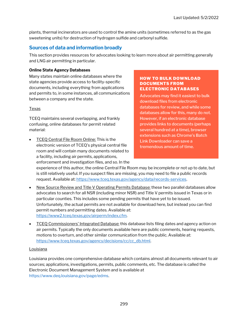plants, thermal incinerators are used to control the amine units (sometimes referred to as the gas sweetening units) for destruction of hydrogen sulfide and carbonyl sulfide.

#### Sources of data and information broadly

This section provides resources for advocates looking to learn more about air permitting generally and LNG air permitting in particular.

#### Online State Agency Databases

Many states maintain online databases where the state agencies provide access to facility-specific documents, including everything from applications and permits to, in some instances, all communications between a company and the state.

#### Texas

TCEQ maintains several overlapping, and frankly confusing, online databases for permit related material:

**TCEQ Central File Room Online: This is the** electronic version of TCEQ's physical central file room and will contain many documents related to a facility, including air permits, applications, enforcement and investigation files, and so. In the

#### HOW TO BULK DOWNLOAD DOCUMENTS FROM ELECTRONIC DATABASES

Advocates may find it easiest to bulk download files from electronic databases for review, and while some databases allow for this, many do not. However, if an electronic database provides links to documents (perhaps several hundred at a time), browser extensions such as Chrome's Batch Link Downloader can save a tremendous amount of time.

experience of this author, the online Central File Room may be incomplete or not up to date, but is still relatively useful. If you suspect files are missing, you may need to file a public records request. Available at: https://www.tceq.texas.gov/agency/data/records-services.

- New Source Review and Title V Operating Permits Database: these two parallel databases allow advocates to search for all NSR (including minor NSR) and Title V permits issued in Texas or in particular counties. This includes some pending permits that have yet to be issued. Unfortunately, the actual permits are not available for download here, but instead you can find permit numbers and permitting dates. Available at: https://www2.tceq.texas.gov/airperm/index.cfm.
- TCEQ Commissioners' Integrated Database: this database lists filing dates and agency action on air permits. Typically the only documents available here are public comments, hearing requests, motions to overturn, and other similar communication from the public. Available at: https://www.tceq.texas.gov/agency/decisions/cc/cc\_db.html.

#### Louisiana

Louisiana provides one comprehensive database which contains almost all documents relevant to air sources; applications, investigations, permits, public comments, etc. The database is called the Electronic Document Management System and is available at https://www.deq.louisiana.gov/page/edms.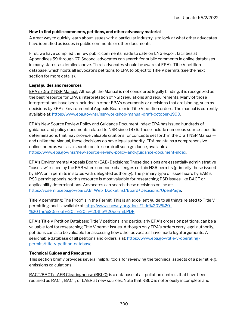#### How to find public comments, petitions, and other advocacy material

A great way to quickly learn about issues with a particular industry is to look at what other advocates have identified as issues in public comments or other documents.

First, we have compiled the few public comments made to date on LNG export facilities at Appendices 59 through 67. Second, advocates can search for public comments in online databases in many states, as detailed above. Third, advocates should be aware of EPA's Title V petition database, which hosts all advocate's petitions to EPA to object to Title V permits (see the next section for more details).

#### Legal guides and resources

EPA's (Draft) NSR Manual: Although the Manual is not considered legally binding, it is recognized as the best resource for EPA's interpretation of NSR regulations and requirements. Many of those interpretations have been included in other EPA's documents or decisions that are binding, such as decisions by EPA's Environmental Appeals Board or in Title V petition orders. The manual is currently available at: https://www.epa.gov/nsr/nsr-workshop-manual-draft-october-1990.

EPA's New Source Review Policy and Guidance Document Index: EPA has issued hundreds of guidance and policy documents related to NSR since 1976. These include numerous source-specific determinations that may provide valuable citations for concepts set forth in the Draft NSR Manual and unlike the Manual, these decisions do have legal authority. EPA maintains a comprehensive online Index as well as a search tool to search all such guidance, available at https://www.epa.gov/nsr/new-source-review-policy-and-guidance-document-index.

EPA's Environmental Appeals Board (EAB) Decisions: These decisions are essentially administrative "case law" issued by the EAB when someone challenges certain NSR permits (primarily those issued by EPA or in permits in states with delegated authority). The primary type of issue heard by EAB is PSD permit appeals, so this resource is most valuable for researching PSD issues like BACT or applicability determinations. Advocates can search these decisions online at: https://yosemite.epa.gov/oa/EAB\_Web\_Docket.nsf/Board+Decisions?OpenPage.

Title V permitting: The Proof is in the Permit: This is an excellent guide to all things related to Title V permitting, and is available at: http://www.cacwny.org/docs/Title%20V%20- %20The%20proof%20is%20in%20the%20permit.PDF.

EPA's Title V Petition Database: Title V petitions, and particularly EPA's orders on petitions, can be a valuable tool for researching Title V permit issues. Although only EPA's orders carry legal authority, petitions can also be valuable for assessing how other advocates have made legal arguments. A searchable database of all petitions and orders is at: https://www.epa.gov/title-v-operatingpermits/title-v-petition-database.

#### Technical Guides and Resources

This section briefly provides several helpful tools for reviewing the technical aspects of a permit, e.g. emissions calculations.

RACT/BACT/LAER Clearinghouse (RBLC): is a database of air pollution controls that have been required as RACT, BACT, or LAER at new sources. Note that RBLC is notoriously incomplete and